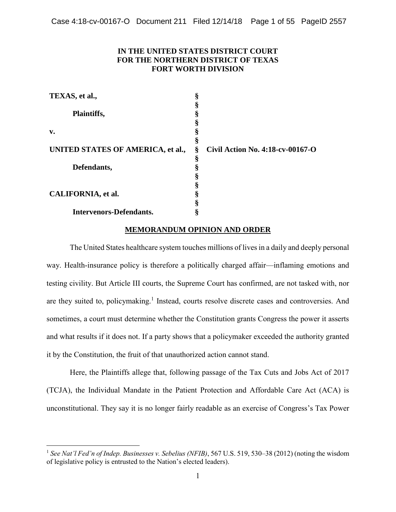# **IN THE UNITED STATES DISTRICT COURT FOR THE NORTHERN DISTRICT OF TEXAS FORT WORTH DIVISION**

| TEXAS, et al.,                    |   |                                  |
|-----------------------------------|---|----------------------------------|
|                                   |   |                                  |
| Plaintiffs,                       |   |                                  |
|                                   |   |                                  |
| v.                                |   |                                  |
|                                   |   |                                  |
| UNITED STATES OF AMERICA, et al., | ş | Civil Action No. 4:18-cv-00167-O |
|                                   | ş |                                  |
| Defendants,                       |   |                                  |
|                                   |   |                                  |
|                                   |   |                                  |
| CALIFORNIA, et al.                |   |                                  |
|                                   |   |                                  |
| <b>Intervenors-Defendants.</b>    |   |                                  |

# **MEMORANDUM OPINION AND ORDER**

 The United States healthcare system touches millions of lives in a daily and deeply personal way. Health-insurance policy is therefore a politically charged affair—inflaming emotions and testing civility. But Article III courts, the Supreme Court has confirmed, are not tasked with, nor are they suited to, policymaking.<sup>1</sup> Instead, courts resolve discrete cases and controversies. And sometimes, a court must determine whether the Constitution grants Congress the power it asserts and what results if it does not. If a party shows that a policymaker exceeded the authority granted it by the Constitution, the fruit of that unauthorized action cannot stand.

 Here, the Plaintiffs allege that, following passage of the Tax Cuts and Jobs Act of 2017 (TCJA), the Individual Mandate in the Patient Protection and Affordable Care Act (ACA) is unconstitutional. They say it is no longer fairly readable as an exercise of Congress's Tax Power

<sup>&</sup>lt;sup>1</sup> See Nat'l Fed'n of Indep. Businesses v. Sebelius (NFIB), 567 U.S. 519, 530–38 (2012) (noting the wisdom of legislative policy is entrusted to the Nation's elected leaders).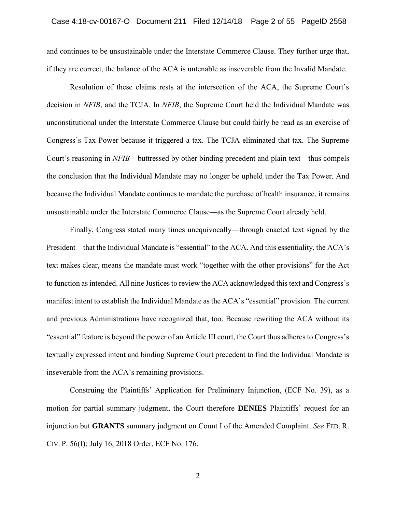and continues to be unsustainable under the Interstate Commerce Clause. They further urge that, if they are correct, the balance of the ACA is untenable as inseverable from the Invalid Mandate.

 unconstitutional under the Interstate Commerce Clause but could fairly be read as an exercise of Congress's Tax Power because it triggered a tax. The TCJA eliminated that tax. The Supreme the conclusion that the Individual Mandate may no longer be upheld under the Tax Power. And because the Individual Mandate continues to mandate the purchase of health insurance, it remains Resolution of these claims rests at the intersection of the ACA, the Supreme Court's decision in *NFIB*, and the TCJA. In *NFIB*, the Supreme Court held the Individual Mandate was Court's reasoning in *NFIB*—buttressed by other binding precedent and plain text—thus compels unsustainable under the Interstate Commerce Clause—as the Supreme Court already held.

 Finally, Congress stated many times unequivocally—through enacted text signed by the text makes clear, means the mandate must work "together with the other provisions" for the Act to function as intended. All nine Justices to review the ACA acknowledged this text and Congress's manifest intent to establish the Individual Mandate as the ACA's "essential" provision. The current and previous Administrations have recognized that, too. Because rewriting the ACA without its "essential" feature is beyond the power of an Article III court, the Court thus adheres to Congress's textually expressed intent and binding Supreme Court precedent to find the Individual Mandate is inseverable from the ACA's remaining provisions. President—that the Individual Mandate is "essential" to the ACA. And this essentiality, the ACA's

 Construing the Plaintiffs' Application for Preliminary Injunction, (ECF No. 39), as a motion for partial summary judgment, the Court therefore **DENIES** Plaintiffs' request for an injunction but **GRANTS** summary judgment on Count I of the Amended Complaint. *See* FED. R. CIV. P. 56(f); July 16, 2018 Order, ECF No. 176.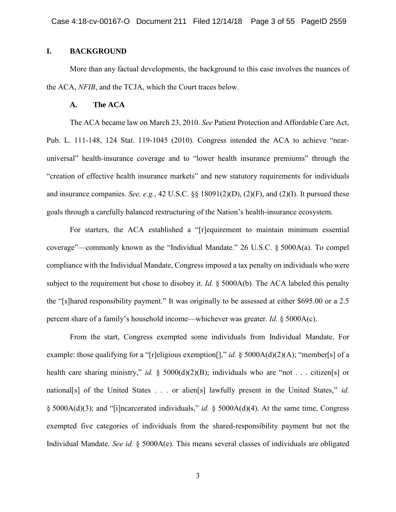# **I. BACKGROUND**

 More than any factual developments, the background to this case involves the nuances of the ACA, *NFIB*, and the TCJA, which the Court traces below.

#### **A. The ACA**

 The ACA became law on March 23, 2010. *See* Patient Protection and Affordable Care Act, Pub. L. 111-148, 124 Stat. 119-1045 (2010). Congress intended the ACA to achieve "near- universal" health-insurance coverage and to "lower health insurance premiums" through the "creation of effective health insurance markets" and new statutory requirements for individuals and insurance companies. *See, e.g.*, 42 U.S.C. §§ 18091(2)(D), (2)(F), and (2)(I). It pursued these goals through a carefully balanced restructuring of the Nation's health-insurance ecosystem.

 For starters, the ACA established a "[r]equirement to maintain minimum essential coverage"—commonly known as the "Individual Mandate." 26 U.S.C. § 5000A(a). To compel compliance with the Individual Mandate, Congress imposed a tax penalty on individuals who were subject to the requirement but chose to disobey it. *Id.* § 5000A(b). The ACA labeled this penalty the "[s]hared responsibility payment." It was originally to be assessed at either \$695.00 or a 2.5 percent share of a family's household income—whichever was greater. *Id.* § 5000A(c).

 example: those qualifying for a "[r]eligious exemption[]," *id.* § 5000A(d)(2)(A); "member[s] of a health care sharing ministry," *id.* § 5000(d)(2)(B); individuals who are "not . . . citizen[s] or national[s] of the United States . . . or alien[s] lawfully present in the United States," *id.*  exempted five categories of individuals from the shared-responsibility payment but not the From the start, Congress exempted some individuals from Individual Mandate. For § 5000A(d)(3); and "[i]ncarcerated individuals," *id.* § 5000A(d)(4). At the same time, Congress Individual Mandate. *See id.* § 5000A(e). This means several classes of individuals are obligated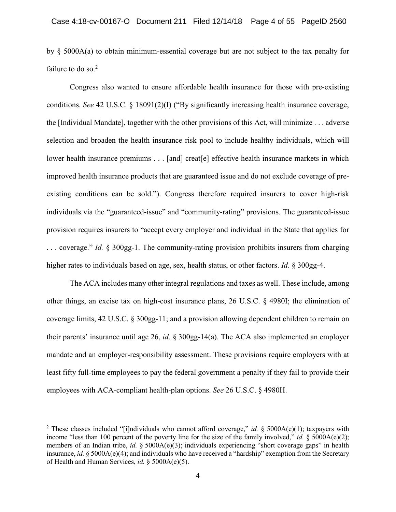by § 5000A(a) to obtain minimum-essential coverage but are not subject to the tax penalty for failure to do so. $<sup>2</sup>$ </sup>

 Congress also wanted to ensure affordable health insurance for those with pre-existing conditions. *See* 42 U.S.C. § 18091(2)(I) ("By significantly increasing health insurance coverage, the [Individual Mandate], together with the other provisions of this Act, will minimize . . . adverse selection and broaden the health insurance risk pool to include healthy individuals, which will lower health insurance premiums . . . [and] creat[e] effective health insurance markets in which existing conditions can be sold."). Congress therefore required insurers to cover high-risk individuals via the "guaranteed-issue" and "community-rating" provisions. The guaranteed-issue provision requires insurers to "accept every employer and individual in the State that applies for . . . coverage." *Id.* § 300gg-1. The community-rating provision prohibits insurers from charging higher rates to individuals based on age, sex, health status, or other factors. *Id.* § 300gg-4. improved health insurance products that are guaranteed issue and do not exclude coverage of pre-

 other things, an excise tax on high-cost insurance plans, 26 U.S.C. § 4980I; the elimination of their parents' insurance until age 26, *id.* § 300gg-14(a). The ACA also implemented an employer mandate and an employer-responsibility assessment. These provisions require employers with at The ACA includes many other integral regulations and taxes as well. These include, among coverage limits, 42 U.S.C.  $\S 300gg-11$ ; and a provision allowing dependent children to remain on least fifty full-time employees to pay the federal government a penalty if they fail to provide their employees with ACA-compliant health-plan options. *See* 26 U.S.C. § 4980H.

 2 These classes included "[i]ndividuals who cannot afford coverage," *id.* § 5000A(e)(1); taxpayers with income "less than 100 percent of the poverty line for the size of the family involved," *id.* § 5000A(e)(2); members of an Indian tribe, *id.* § 5000A(e)(3); individuals experiencing "short coverage gaps" in health of Health and Human Services, *id.* § 5000A(e)(5). insurance, *id.* § 5000A(e)(4); and individuals who have received a "hardship" exemption from the Secretary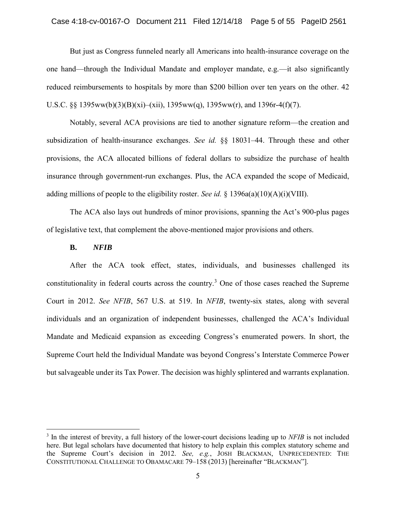#### Case 4:18-cv-00167-O Document 211 Filed 12/14/18 Page 5 of 55 PageID 2561

 But just as Congress funneled nearly all Americans into health-insurance coverage on the reduced reimbursements to hospitals by more than \$200 billion over ten years on the other. 42 U.S.C. §§ 1395ww(b)(3)(B)(xi)–(xii), 1395ww(q), 1395ww(r), and 1396r-4(f)(7). one hand—through the Individual Mandate and employer mandate, e.g.—it also significantly

 Notably, several ACA provisions are tied to another signature reform—the creation and subsidization of health-insurance exchanges. *See id.* §§ 18031–44. Through these and other insurance through government-run exchanges. Plus, the ACA expanded the scope of Medicaid, provisions, the ACA allocated billions of federal dollars to subsidize the purchase of health adding millions of people to the eligibility roster. *See id.* § 1396a(a)(10)(A)(i)(VIII).

 The ACA also lays out hundreds of minor provisions, spanning the Act's 900-plus pages of legislative text, that complement the above-mentioned major provisions and others.

#### **B.** *NFIB*

 $\overline{a}$ 

After the ACA took effect, states, individuals, and businesses challenged its constitutionality in federal courts across the country.<sup>3</sup> One of those cases reached the Supreme Court in 2012. *See NFIB*, 567 U.S. at 519. In *NFIB*, twenty-six states, along with several individuals and an organization of independent businesses, challenged the ACA's Individual Mandate and Medicaid expansion as exceeding Congress's enumerated powers. In short, the Supreme Court held the Individual Mandate was beyond Congress's Interstate Commerce Power but salvageable under its Tax Power. The decision was highly splintered and warrants explanation.

<sup>3</sup> In the interest of brevity, a full history of the lower-court decisions leading up to *NFIB* is not included here. But legal scholars have documented that history to help explain this complex statutory scheme and the Supreme Court's decision in 2012. *See, e.g.*, JOSH BLACKMAN, UNPRECEDENTED: THE CONSTITUTIONAL CHALLENGE TO OBAMACARE 79–158 (2013) [hereinafter "BLACKMAN"].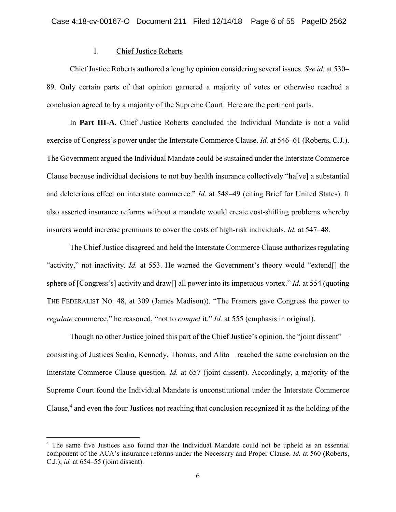## 1. Chief Justice Roberts

Chief Justice Roberts authored a lengthy opinion considering several issues. *See id.* at 530– 89. Only certain parts of that opinion garnered a majority of votes or otherwise reached a conclusion agreed to by a majority of the Supreme Court. Here are the pertinent parts.

In **Part III-A**, Chief Justice Roberts concluded the Individual Mandate is not a valid exercise of Congress's power under the Interstate Commerce Clause. *Id.* at 546–61 (Roberts, C.J.). The Government argued the Individual Mandate could be sustained under the Interstate Commerce Clause because individual decisions to not buy health insurance collectively "ha[ve] a substantial and deleterious effect on interstate commerce." *Id.* at 548–49 (citing Brief for United States). It also asserted insurance reforms without a mandate would create cost-shifting problems whereby insurers would increase premiums to cover the costs of high-risk individuals. *Id.* at 547–48.

The Chief Justice disagreed and held the Interstate Commerce Clause authorizes regulating "activity," not inactivity. *Id.* at 553. He warned the Government's theory would "extend[] the sphere of [Congress's] activity and draw[] all power into its impetuous vortex." *Id.* at 554 (quoting THE FEDERALIST NO. 48, at 309 (James Madison)). "The Framers gave Congress the power to *regulate* commerce," he reasoned, "not to *compel* it." *Id.* at 555 (emphasis in original).

Though no other Justice joined this part of the Chief Justice's opinion, the "joint dissent" consisting of Justices Scalia, Kennedy, Thomas, and Alito—reached the same conclusion on the Interstate Commerce Clause question. *Id.* at 657 (joint dissent). Accordingly, a majority of the Supreme Court found the Individual Mandate is unconstitutional under the Interstate Commerce Clause,<sup>4</sup> and even the four Justices not reaching that conclusion recognized it as the holding of the

<sup>4</sup> The same five Justices also found that the Individual Mandate could not be upheld as an essential component of the ACA's insurance reforms under the Necessary and Proper Clause. *Id.* at 560 (Roberts, C.J.); *id.* at 654–55 (joint dissent).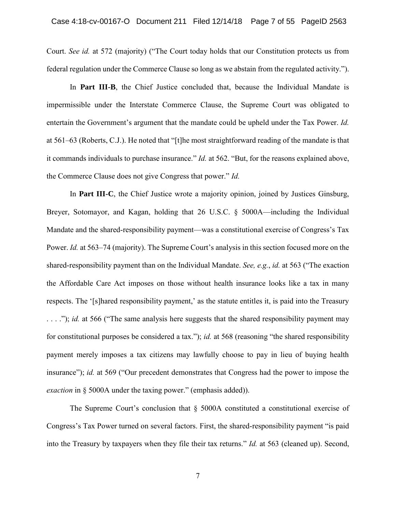Court. *See id.* at 572 (majority) ("The Court today holds that our Constitution protects us from federal regulation under the Commerce Clause so long as we abstain from the regulated activity.").

 In **Part III-B**, the Chief Justice concluded that, because the Individual Mandate is impermissible under the Interstate Commerce Clause, the Supreme Court was obligated to entertain the Government's argument that the mandate could be upheld under the Tax Power. *Id.*  at 561–63 (Roberts, C.J.). He noted that "[t]he most straightforward reading of the mandate is that it commands individuals to purchase insurance." *Id.* at 562. "But, for the reasons explained above, the Commerce Clause does not give Congress that power." *Id.* 

 the Affordable Care Act imposes on those without health insurance looks like a tax in many . . . ."); *id.* at 566 ("The same analysis here suggests that the shared responsibility payment may for constitutional purposes be considered a tax."); *id.* at 568 (reasoning "the shared responsibility payment merely imposes a tax citizens may lawfully choose to pay in lieu of buying health insurance"); *id.* at 569 ("Our precedent demonstrates that Congress had the power to impose the Case 4:18-cv-00167-O Document 211 Filed 12/14/18 Page 7 of 55 PageID 2563<br>
Court. See id. at 572 (majority) ("The Court today holds that our Constitution protoces us from<br>
electal regulation under the Commerce Clause so l In **Part III-C**, the Chief Justice wrote a majority opinion, joined by Justices Ginsburg, Breyer, Sotomayor, and Kagan, holding that 26 U.S.C. § 5000A—including the Individual Mandate and the shared-responsibility payment—was a constitutional exercise of Congress's Tax Power. *Id.* at 563–74 (majority). The Supreme Court's analysis in this section focused more on the shared-responsibility payment than on the Individual Mandate. *See, e.g.*, *id.* at 563 ("The exaction respects. The '[s]hared responsibility payment,' as the statute entitles it, is paid into the Treasury *exaction* in § 5000A under the taxing power." (emphasis added)).

 The Supreme Court's conclusion that § 5000A constituted a constitutional exercise of into the Treasury by taxpayers when they file their tax returns." *Id.* at 563 (cleaned up). Second, Congress's Tax Power turned on several factors. First, the shared-responsibility payment "is paid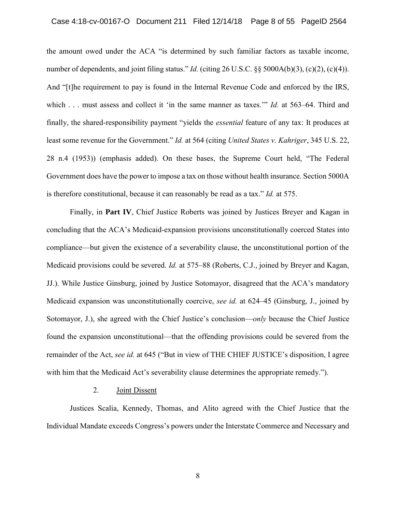number of dependents, and joint filing status." *Id.* (citing 26 U.S.C. §§ 5000A(b)(3), (c)(2), (c)(4)). And "[t]he requirement to pay is found in the Internal Revenue Code and enforced by the IRS, which . . . must assess and collect it 'in the same manner as taxes.'" *Id.* at 563–64. Third and finally, the shared-responsibility payment "yields the *essential* feature of any tax: It produces at least some revenue for the Government." *Id.* at 564 (citing *United States v. Kahriger*, 345 U.S. 22, Government does have the power to impose a tax on those without health insurance. Section 5000A is therefore constitutional, because it can reasonably be read as a tax." *Id.* at 575. Case 4:18-cv-00167-O Document 211 Filed 12/14/18 Page 8 of 55 PageID 2564<br>the amount owed under the ACA "is determined by such familiar factors as taxable income,<br>number of dependents, and joint filing status." *Id.* (cit the amount owed under the ACA "is determined by such familiar factors as taxable income, 28 n.4 (1953)) (emphasis added). On these bases, the Supreme Court held, "The Federal

 Finally, in **Part IV**, Chief Justice Roberts was joined by Justices Breyer and Kagan in concluding that the ACA's Medicaid-expansion provisions unconstitutionally coerced States into compliance—but given the existence of a severability clause, the unconstitutional portion of the Medicaid provisions could be severed. *Id.* at 575–88 (Roberts, C.J., joined by Breyer and Kagan, JJ.). While Justice Ginsburg, joined by Justice Sotomayor, disagreed that the ACA's mandatory found the expansion unconstitutional—that the offending provisions could be severed from the Medicaid expansion was unconstitutionally coercive, *see id.* at 624–45 (Ginsburg, J., joined by Sotomayor, J.), she agreed with the Chief Justice's conclusion—*only* because the Chief Justice remainder of the Act, *see id.* at 645 ("But in view of THE CHIEF JUSTICE's disposition, I agree with him that the Medicaid Act's severability clause determines the appropriate remedy.").

## 2. Joint Dissent

Justices Scalia, Kennedy, Thomas, and Alito agreed with the Chief Justice that the Individual Mandate exceeds Congress's powers under the Interstate Commerce and Necessary and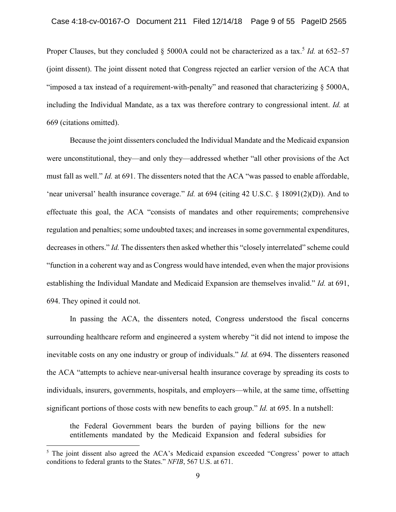Proper Clauses, but they concluded § 5000A could not be characterized as a tax.<sup>5</sup> *Id.* at 652–57 (joint dissent). The joint dissent noted that Congress rejected an earlier version of the ACA that "imposed a tax instead of a requirement-with-penalty" and reasoned that characterizing  $\S$  5000A, including the Individual Mandate, as a tax was therefore contrary to congressional intent. *Id.* at 669 (citations omitted).

Because the joint dissenters concluded the Individual Mandate and the Medicaid expansion were unconstitutional, they—and only they—addressed whether "all other provisions of the Act must fall as well." *Id.* at 691. The dissenters noted that the ACA "was passed to enable affordable, 'near universal' health insurance coverage." *Id.* at 694 (citing 42 U.S.C. § 18091(2)(D)). And to effectuate this goal, the ACA "consists of mandates and other requirements; comprehensive regulation and penalties; some undoubted taxes; and increases in some governmental expenditures, decreases in others." *Id.* The dissenters then asked whether this "closely interrelated" scheme could "function in a coherent way and as Congress would have intended, even when the major provisions establishing the Individual Mandate and Medicaid Expansion are themselves invalid." *Id.* at 691, 694. They opined it could not.

In passing the ACA, the dissenters noted, Congress understood the fiscal concerns surrounding healthcare reform and engineered a system whereby "it did not intend to impose the inevitable costs on any one industry or group of individuals." *Id.* at 694. The dissenters reasoned the ACA "attempts to achieve near-universal health insurance coverage by spreading its costs to individuals, insurers, governments, hospitals, and employers—while, at the same time, offsetting significant portions of those costs with new benefits to each group." *Id.* at 695. In a nutshell:

the Federal Government bears the burden of paying billions for the new entitlements mandated by the Medicaid Expansion and federal subsidies for

<sup>&</sup>lt;sup>5</sup> The joint dissent also agreed the ACA's Medicaid expansion exceeded "Congress' power to attach conditions to federal grants to the States." *NFIB*, 567 U.S. at 671.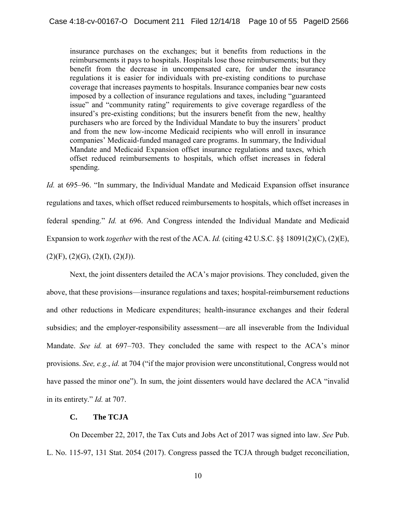insurance purchases on the exchanges; but it benefits from reductions in the reimbursements it pays to hospitals. Hospitals lose those reimbursements; but they benefit from the decrease in uncompensated care, for under the insurance regulations it is easier for individuals with pre-existing conditions to purchase coverage that increases payments to hospitals. Insurance companies bear new costs imposed by a collection of insurance regulations and taxes, including "guaranteed issue" and "community rating" requirements to give coverage regardless of the insured's pre-existing conditions; but the insurers benefit from the new, healthy purchasers who are forced by the Individual Mandate to buy the insurers' product and from the new low-income Medicaid recipients who will enroll in insurance companies' Medicaid-funded managed care programs. In summary, the Individual Mandate and Medicaid Expansion offset insurance regulations and taxes, which offset reduced reimbursements to hospitals, which offset increases in federal spending.

*Id.* at 695–96. "In summary, the Individual Mandate and Medicaid Expansion offset insurance regulations and taxes, which offset reduced reimbursements to hospitals, which offset increases in federal spending." *Id.* at 696. And Congress intended the Individual Mandate and Medicaid Expansion to work *together* with the rest of the ACA. *Id.* (citing 42 U.S.C. §§ 18091(2)(C), (2)(E),  $(2)(F), (2)(G), (2)(I), (2)(J).$ 

Next, the joint dissenters detailed the ACA's major provisions. They concluded, given the above, that these provisions—insurance regulations and taxes; hospital-reimbursement reductions and other reductions in Medicare expenditures; health-insurance exchanges and their federal subsidies; and the employer-responsibility assessment—are all inseverable from the Individual Mandate. *See id.* at 697–703. They concluded the same with respect to the ACA's minor provisions. *See, e.g.*, *id.* at 704 ("if the major provision were unconstitutional, Congress would not have passed the minor one"). In sum, the joint dissenters would have declared the ACA "invalid" in its entirety." *Id.* at 707.

# **C. The TCJA**

On December 22, 2017, the Tax Cuts and Jobs Act of 2017 was signed into law. *See* Pub. L. No. 115-97, 131 Stat. 2054 (2017). Congress passed the TCJA through budget reconciliation,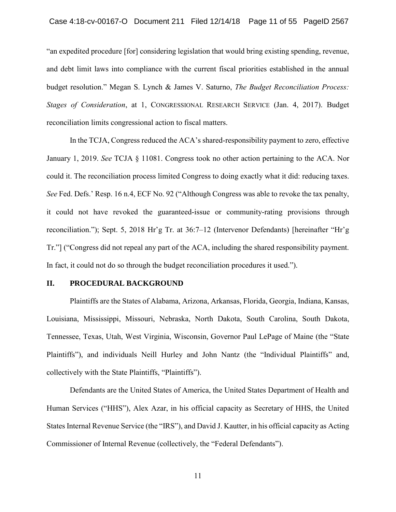and debt limit laws into compliance with the current fiscal priorities established in the annual "an expedited procedure [for] considering legislation that would bring existing spending, revenue, budget resolution." Megan S. Lynch & James V. Saturno, *The Budget Reconciliation Process: Stages of Consideration*, at 1, CONGRESSIONAL RESEARCH SERVICE (Jan. 4, 2017). Budget reconciliation limits congressional action to fiscal matters.

 *See* Fed. Defs.' Resp. 16 n.4, ECF No. 92 ("Although Congress was able to revoke the tax penalty, it could not have revoked the guaranteed-issue or community-rating provisions through evoke the tax per<br>provisions thr<br>ts) [hereinafter "<br>sponsibility payr<br>ed.").<br>rgia, Indiana, Ka<br>plina, South Da<br>of Maine (the "<br>dual Plaintiffs" Case 4:18-cv-00167-O Document 211 Filed 12/14/18 Page 11 of 55 PageID 2567<br>
"an expedited procedure [for] considering legislation that would bring existing spending, revenue,<br>
and debt limit laws into compliance with the c In the TCJA, Congress reduced the ACA's shared-responsibility payment to zero, effective January 1, 2019. *See* TCJA § 11081. Congress took no other action pertaining to the ACA. Nor could it. The reconciliation process limited Congress to doing exactly what it did: reducing taxes. reconciliation."); Sept. 5, 2018 Hr'g Tr. at 36:7–12 (Intervenor Defendants) [hereinafter "Hr'g Tr."] ("Congress did not repeal any part of the ACA, including the shared responsibility payment. In fact, it could not do so through the budget reconciliation procedures it used.").

#### **II. PROCEDURAL BACKGROUND**

 Plaintiffs are the States of Alabama, Arizona, Arkansas, Florida, Georgia, Indiana, Kansas, Tennessee, Texas, Utah, West Virginia, Wisconsin, Governor Paul LePage of Maine (the "State Plaintiffs"), and individuals Neill Hurley and John Nantz (the "Individual Plaintiffs" and, Louisiana, Mississippi, Missouri, Nebraska, North Dakota, South Carolina, South Dakota, collectively with the State Plaintiffs, "Plaintiffs").

 Defendants are the United States of America, the United States Department of Health and States Internal Revenue Service (the "IRS"), and David J. Kautter, in his official capacity as Acting Human Services ("HHS"), Alex Azar, in his official capacity as Secretary of HHS, the United Commissioner of Internal Revenue (collectively, the "Federal Defendants").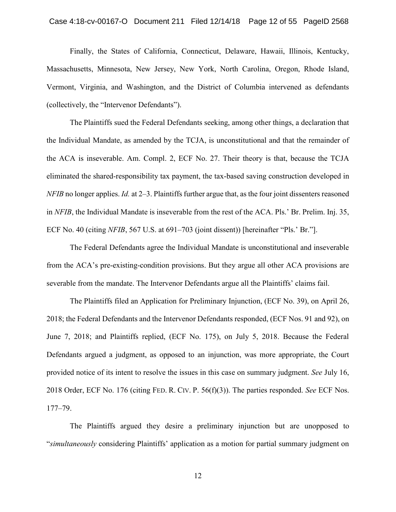Massachusetts, Minnesota, New Jersey, New York, North Carolina, Oregon, Rhode Island, Finally, the States of California, Connecticut, Delaware, Hawaii, Illinois, Kentucky, Vermont, Virginia, and Washington, and the District of Columbia intervened as defendants (collectively, the "Intervenor Defendants").

 *NFIB* no longer applies. *Id.* at 2–3. Plaintiffs further argue that, as the four joint dissenters reasoned ECF No. 40 (citing *NFIB*, 567 U.S. at 691–703 (joint dissent)) [hereinafter "Pls.' Br."]. Case 4:18-cv-00167-O Document 211 Filed 12/14/18 Page 12 of 55 PageID 2568<br>
Finally, the Sittles of California, Connecticut, Delaware, Hawaii, Illinois, Kentucky,<br>
Massachusetts, Minnesota, New Jersey, New York, North Car The Plaintiffs sued the Federal Defendants seeking, among other things, a declaration that the Individual Mandate, as amended by the TCJA, is unconstitutional and that the remainder of the ACA is inseverable. Am. Compl. 2, ECF No. 27. Their theory is that, because the TCJA eliminated the shared-responsibility tax payment, the tax-based saving construction developed in in *NFIB*, the Individual Mandate is inseverable from the rest of the ACA. Pls.' Br. Prelim. Inj. 35,

 The Federal Defendants agree the Individual Mandate is unconstitutional and inseverable from the ACA's pre-existing-condition provisions. But they argue all other ACA provisions are severable from the mandate. The Intervenor Defendants argue all the Plaintiffs' claims fail.

 The Plaintiffs filed an Application for Preliminary Injunction, (ECF No. 39), on April 26, 2018; the Federal Defendants and the Intervenor Defendants responded, (ECF Nos. 91 and 92), on June 7, 2018; and Plaintiffs replied, (ECF No. 175), on July 5, 2018. Because the Federal provided notice of its intent to resolve the issues in this case on summary judgment. *See* July 16, Defendants argued a judgment, as opposed to an injunction, was more appropriate, the Court 2018 Order, ECF No. 176 (citing FED. R. CIV. P. 56(f)(3)). The parties responded. *See* ECF Nos. 177–79.

 "*simultaneously* considering Plaintiffs' application as a motion for partial summary judgment on The Plaintiffs argued they desire a preliminary injunction but are unopposed to

12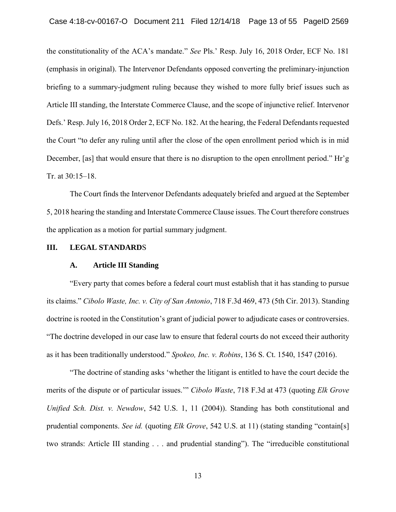the constitutionality of the ACA's mandate." *See* Pls.' Resp. July 16, 2018 Order, ECF No. 181 briefing to a summary-judgment ruling because they wished to more fully brief issues such as Defs.' Resp. July 16, 2018 Order 2, ECF No. 182. At the hearing, the Federal Defendants requested the Court "to defer any ruling until after the close of the open enrollment period which is in mid December, [as] that would ensure that there is no disruption to the open enrollment period." Hr'g Case 4:18-cv-00167-O Document 211 Filed 12/14/18 Page 13 of 55 PageID 2569<br>the constitutionality of the ACA's mandate." See Pls." Resp. July 16, 2018 Order, ECF No. 181<br>(emphasis in original). The Intervenor Defendants op (emphasis in original). The Intervenor Defendants opposed converting the preliminary-injunction Article III standing, the Interstate Commerce Clause, and the scope of injunctive relief. Intervenor Tr. at 30:15–18.

 The Court finds the Intervenor Defendants adequately briefed and argued at the September 5, 2018 hearing the standing and Interstate Commerce Clause issues. The Court therefore construes the application as a motion for partial summary judgment.

## **III. LEGAL STANDARD**S

#### **A. Article III Standing**

 "Every party that comes before a federal court must establish that it has standing to pursue "The doctrine developed in our case law to ensure that federal courts do not exceed their authority .' Resp. July 16, 2018 Order 2, E<br>
Court "to defer any ruling until a<br>
mber, [as] that would ensure that<br>  $30:15-18$ .<br>
The Court finds the Interveno<br>
18 hearing the standing and Inter<br>
pplication as a motion for partial<br> its claims." *Cibolo Waste, Inc. v. City of San Antonio*, 718 F.3d 469, 473 (5th Cir. 2013). Standing doctrine is rooted in the Constitution's grant of judicial power to adjudicate cases or controversies. as it has been traditionally understood." *Spokeo, Inc. v. Robins*, 136 S. Ct. 1540, 1547 (2016).

 merits of the dispute or of particular issues.'" *Cibolo Waste*, 718 F.3d at 473 (quoting *Elk Grove*  two strands: Article III standing . . . and prudential standing"). The "irreducible constitutional "The doctrine of standing asks 'whether the litigant is entitled to have the court decide the *Unified Sch. Dist. v. Newdow*, 542 U.S. 1, 11 (2004)). Standing has both constitutional and prudential components. *See id.* (quoting *Elk Grove*, 542 U.S. at 11) (stating standing "contain[s]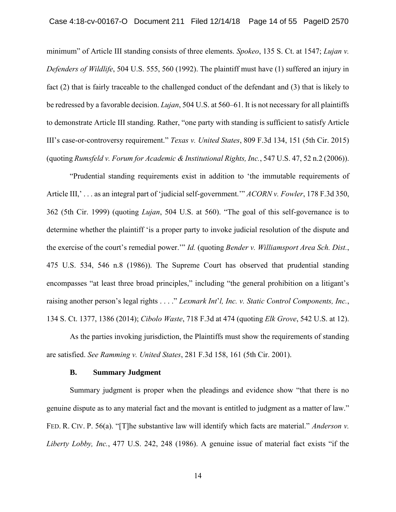minimum" of Article III standing consists of three elements. *Spokeo*, 135 S. Ct. at 1547; *Lujan v. Defenders of Wildlife*, 504 U.S. 555, 560 (1992). The plaintiff must have (1) suffered an injury in fact (2) that is fairly traceable to the challenged conduct of the defendant and (3) that is likely to be redressed by a favorable decision. *Lujan*, 504 U.S. at 560–61. It is not necessary for all plaintiffs to demonstrate Article III standing. Rather, "one party with standing is sufficient to satisfy Article III's case-or-controversy requirement." *Texas v. United States*, 809 F.3d 134, 151 (5th Cir. 2015) (quoting *Rumsfeld v. Forum for Academic & Institutional Rights, Inc.*, 547 U.S. 47, 52 n.2 (2006)).

 Article III,' . . . as an integral part of 'judicial self-government.'" *ACORN v. Fowler*, 178 F.3d 350, Article III,'... as an integral part of 'judicial self-government.'" ACORN v. Fowler, 178 F.3d 350,<br>362 (5th Cir. 1999) (quoting *Lujan*, 504 U.S. at 560). "The goal of this self-governance is to determine whether the plaintiff 'is a proper party to invoke judicial resolution of the dispute and 475 U.S. 534, 546 n.8 (1986)). The Supreme Court has observed that prudential standing encompasses "at least three broad principles," including "the general prohibition on a litigant's Case 4:18-cv-00167-O Document 211 Filed 12/14/18 Page 14 of 55 PageID 2570<br>
minimum" of Article III standing consists of three elements, Spoken, 135 S. Cs. at 1547; *Lujan v.*<br>
Deferades of Widdlife, 504 U.S. 555, 560 (19 "Prudential standing requirements exist in addition to 'the immutable requirements of the exercise of the court's remedial power.'" *Id.* (quoting *Bender v. Williamsport Area Sch. Dist.*, raising another person's legal rights . . . ." *Lexmark Int*'*l, Inc. v. Static Control Components, Inc.*, 134 S. Ct. 1377, 1386 (2014); *Cibolo Waste*, 718 F.3d at 474 (quoting *Elk Grove*, 542 U.S. at 12).

As the parties invoking jurisdiction, the Plaintiffs must show the requirements of standing are satisfied. *See Ramming v. United States*, 281 F.3d 158, 161 (5th Cir. 2001).

#### **B. Summary Judgment**

 Summary judgment is proper when the pleadings and evidence show "that there is no FED. R. CIV. P. 56(a). "[T]he substantive law will identify which facts are material." *Anderson v.*  genuine dispute as to any material fact and the movant is entitled to judgment as a matter of law." *Liberty Lobby, Inc.*, 477 U.S. 242, 248 (1986). A genuine issue of material fact exists "if the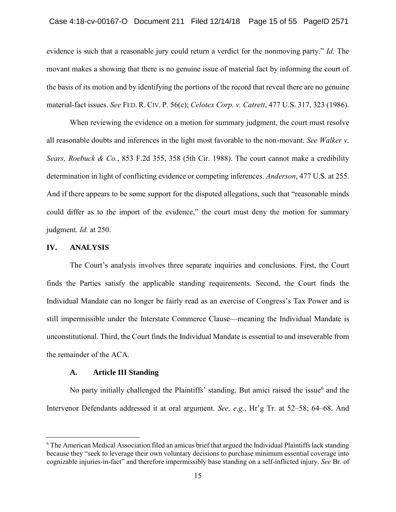evidence is such that a reasonable jury could return a verdict for the nonmoving party." *Id.* The movant makes a showing that there is no genuine issue of material fact by informing the court of the basis of its motion and by identifying the portions of the record that reveal there are no genuine material-fact issues. *See* FED. R. CIV. P. 56(c); *Celotex Corp. v. Catrett*, 477 U.S. 317, 323 (1986).

 When reviewing the evidence on a motion for summary judgment, the court must resolve all reasonable doubts and inferences in the light most favorable to the non-movant. *See Walker v. Sears, Roebuck & Co.*, 853 F.2d 355, 358 (5th Cir. 1988). The court cannot make a credibility determination in light of conflicting evidence or competing inferences. *Anderson*, 477 U.S. at 255. could differ as to the import of the evidence," the court must deny the motion for summary Case 4:18-cv-00167-O Document 211 Filed 12/14/18 Page 15 of 55 PageID 2571<br>evidence is such that a reasonable jury could return a verdict for the nonnoving party." *Id.* The<br>movant makes a showing that there is no genuine And if there appears to be some support for the disputed allegations, such that "reasonable minds judgment. *Id.* at 250.

# **IV. ANALYSIS**

 $\overline{a}$ 

 Individual Mandate can no longer be fairly read as an exercise of Congress's Tax Power and is still impermissible under the Interstate Commerce Clause—meaning the Individual Mandate is The Court's analysis involves three separate inquiries and conclusions. First, the Court finds the Parties satisfy the applicable standing requirements. Second, the Court finds the unconstitutional. Third, the Court finds the Individual Mandate is essential to and inseverable from the remainder of the ACA.

#### **A. Article III Standing**

No party initially challenged the Plaintiffs' standing. But amici raised the issue $<sup>6</sup>$  and the</sup> Intervenor Defendants addressed it at oral argument. *See, e.g.*, Hr'g Tr. at 52–58; 64–68. And

<sup>6</sup> The American Medical Association filed an amicus brief that argued the Individual Plaintiffs lack standing because they "seek to leverage their own voluntary decisions to purchase minimum essential coverage into cognizable injuries-in-fact" and therefore impermissibly base standing on a self-inflicted injury. *See* Br. of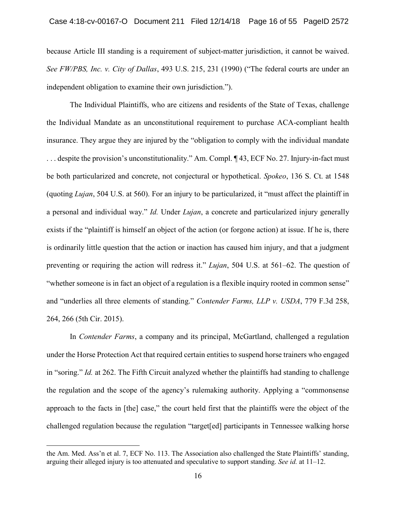because Article III standing is a requirement of subject-matter jurisdiction, it cannot be waived.  *See FW/PBS, Inc. v. City of Dallas*, 493 U.S. 215, 231 (1990) ("The federal courts are under an independent obligation to examine their own jurisdiction.").

 insurance. They argue they are injured by the "obligation to comply with the individual mandate be both particularized and concrete, not conjectural or hypothetical. *Spokeo*, 136 S. Ct. at 1548 a personal and individual way." *Id.* Under *Lujan*, a concrete and particularized injury generally exists if the "plaintiff is himself an object of the action (or forgone action) at issue. If he is, there is ordinarily little question that the action or inaction has caused him injury, and that a judgment preventing or requiring the action will redress it." *Lujan*, 504 U.S. at 561–62. The question of "whether someone is in fact an object of a regulation is a flexible inquiry rooted in common sense" The Individual Plaintiffs, who are citizens and residents of the State of Texas, challenge the Individual Mandate as an unconstitutional requirement to purchase ACA-compliant health . . . despite the provision's unconstitutionality." Am. Compl. ¶ 43, ECF No. 27. Injury-in-fact must (quoting *Lujan*, 504 U.S. at 560). For an injury to be particularized, it "must affect the plaintiff in and "underlies all three elements of standing." *Contender Farms, LLP v. USDA*, 779 F.3d 258, 264, 266 (5th Cir. 2015).

In *Contender Farms*, a company and its principal, McGartland, challenged a regulation under the Horse Protection Act that required certain entities to suspend horse trainers who engaged in "soring." *Id.* at 262. The Fifth Circuit analyzed whether the plaintiffs had standing to challenge the regulation and the scope of the agency's rulemaking authority. Applying a "commonsense approach to the facts in [the] case," the court held first that the plaintiffs were the object of the challenged regulation because the regulation "target[ed] participants in Tennessee walking horse

the Am. Med. Ass'n et al. 7, ECF No. 113. The Association also challenged the State Plaintiffs' standing, arguing their alleged injury is too attenuated and speculative to support standing. *See id.* at 11–12.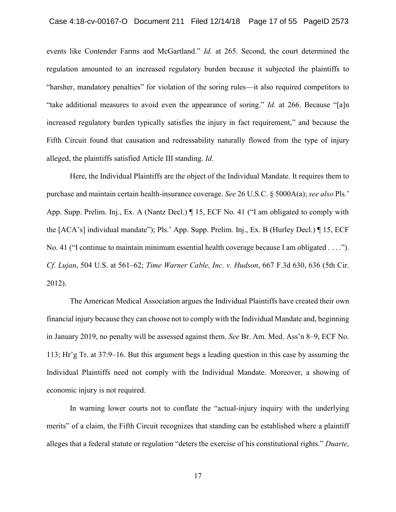regulation amounted to an increased regulatory burden because it subjected the plaintiffs to "harsher, mandatory penalties" for violation of the soring rules—it also required competitors to "take additional measures to avoid even the appearance of soring." *Id.* at 266. Because "[a]n increased regulatory burden typically satisfies the injury in fact requirement," and because the Fifth Circuit found that causation and redressability naturally flowed from the type of injury events like Contender Farms and McGartland." *Id.* at 265. Second, the court determined the alleged, the plaintiffs satisfied Article III standing. *Id*.

 App. Supp. Prelim. Inj., Ex. A (Nantz Decl.) ¶ 15, ECF No. 41 ("I am obligated to comply with the [ACA's] individual mandate"); Pls.' App. Supp. Prelim. Inj., Ex. B (Hurley Decl.) ¶ 15, ECF No. 41 ("I continue to maintain minimum essential health coverage because I am obligated . . . ."). Case 4:18-cv-00167-O Document 211 Filed 12/14/18 Page 17 of 55 PageID 2673<br>
coents like Contender Farms and Meciardand." *Id. at 265*. Second, the court determined the<br>
regulation amounted to un increased regulatory burde Here, the Individual Plaintiffs are the object of the Individual Mandate. It requires them to purchase and maintain certain health-insurance coverage. *See* 26 U.S.C. § 5000A(a); *see also* Pls.' *Cf. Lujan*, 504 U.S. at 561–62; *Time Warner Cable, Inc. v. Hudson*, 667 F.3d 630, 636 (5th Cir. 2012).

 The American Medical Association argues the Individual Plaintiffs have created their own financial injury because they can choose not to comply with the Individual Mandate and, beginning in January 2019, no penalty will be assessed against them. *See* Br. Am. Med. Ass'n 8–9, ECF No. 113; Hr'g Tr. at 37:9–16. But this argument begs a leading question in this case by assuming the Individual Plaintiffs need not comply with the Individual Mandate. Moreover, a showing of economic injury is not required.

 In warning lower courts not to conflate the "actual-injury inquiry with the underlying merits" of a claim, the Fifth Circuit recognizes that standing can be established where a plaintiff alleges that a federal statute or regulation "deters the exercise of his constitutional rights." *Duarte*,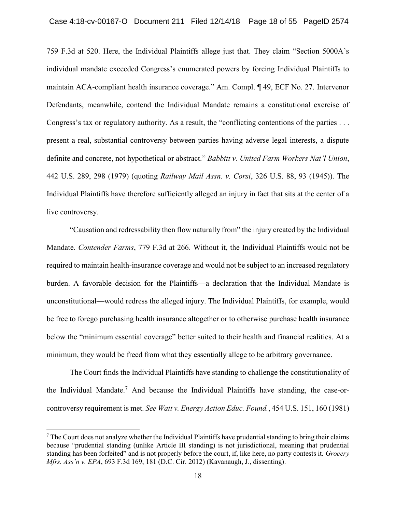759 F.3d at 520. Here, the Individual Plaintiffs allege just that. They claim "Section 5000A's individual mandate exceeded Congress's enumerated powers by forcing Individual Plaintiffs to maintain ACA-compliant health insurance coverage." Am. Compl. ¶ 49, ECF No. 27. Intervenor Defendants, meanwhile, contend the Individual Mandate remains a constitutional exercise of Congress's tax or regulatory authority. As a result, the "conflicting contentions of the parties . . . present a real, substantial controversy between parties having adverse legal interests, a dispute definite and concrete, not hypothetical or abstract." *Babbitt v. United Farm Workers Nat'l Union*, 442 U.S. 289, 298 (1979) (quoting *Railway Mail Assn. v. Corsi*, 326 U.S. 88, 93 (1945)). The Individual Plaintiffs have therefore sufficiently alleged an injury in fact that sits at the center of a live controversy.

"Causation and redressability then flow naturally from" the injury created by the Individual Mandate. *Contender Farms*, 779 F.3d at 266. Without it, the Individual Plaintiffs would not be required to maintain health-insurance coverage and would not be subject to an increased regulatory burden. A favorable decision for the Plaintiffs—a declaration that the Individual Mandate is unconstitutional—would redress the alleged injury. The Individual Plaintiffs, for example, would be free to forego purchasing health insurance altogether or to otherwise purchase health insurance below the "minimum essential coverage" better suited to their health and financial realities. At a minimum, they would be freed from what they essentially allege to be arbitrary governance.

The Court finds the Individual Plaintiffs have standing to challenge the constitutionality of the Individual Mandate.7 And because the Individual Plaintiffs have standing, the case-orcontroversy requirement is met. *See Watt v. Energy Action Educ. Found.*, 454 U.S. 151, 160 (1981)

<sup>7</sup> The Court does not analyze whether the Individual Plaintiffs have prudential standing to bring their claims because "prudential standing (unlike Article III standing) is not jurisdictional, meaning that prudential standing has been forfeited" and is not properly before the court, if, like here, no party contests it*. Grocery Mfrs. Ass'n v. EPA*, 693 F.3d 169, 181 (D.C. Cir. 2012) (Kavanaugh, J., dissenting).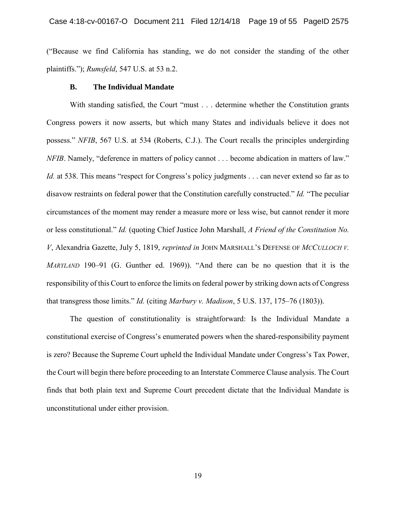("Because we find California has standing, we do not consider the standing of the other plaintiffs."); *Rumsfeld*, 547 U.S. at 53 n.2.

#### **B. The Individual Mandate**

 Congress powers it now asserts, but which many States and individuals believe it does not disavow restraints on federal power that the Constitution carefully constructed." *Id.* "The peculiar circumstances of the moment may render a measure more or less wise, but cannot render it more or less constitutional." *Id.* (quoting Chief Justice John Marshall, *A Friend of the Constitution No. V*, Alexandria Gazette, July 5, 1819, *reprinted in* JOHN MARSHALL'S DEFENSE OF *MCCULLOCH V. MARYLAND* 190–91 (G. Gunther ed. 1969)). "And there can be no question that it is the responsibility of this Court to enforce the limits on federal power by striking down acts of Congress Case 4:18-cv-00167-O Document 211 Filed 12/14/18 Page 19 of 55 PageID 2575<br>
("Because we find California has standing, we do not consider the standing of the other<br>
plaintiffs."); *Rumsfeld*, 547 U.S. at 53 n.2.<br> **B.** The With standing satisfied, the Court "must . . . determine whether the Constitution grants possess." *NFIB*, 567 U.S. at 534 (Roberts, C.J.). The Court recalls the principles undergirding *NFIB*. Namely, "deference in matters of policy cannot . . . become abdication in matters of law." *Id.* at 538. This means "respect for Congress's policy judgments . . . can never extend so far as to that transgress those limits." *Id.* (citing *Marbury v. Madison*, 5 U.S. 137, 175–76 (1803)).

 is zero? Because the Supreme Court upheld the Individual Mandate under Congress's Tax Power, the Court will begin there before proceeding to an Interstate Commerce Clause analysis. The Court The question of constitutionality is straightforward: Is the Individual Mandate a constitutional exercise of Congress's enumerated powers when the shared-responsibility payment finds that both plain text and Supreme Court precedent dictate that the Individual Mandate is unconstitutional under either provision.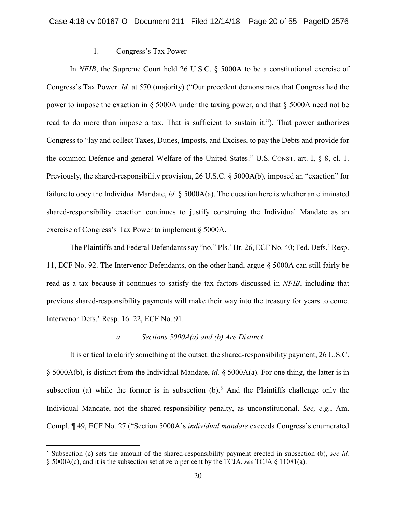## 1. Congress's Tax Power

In *NFIB*, the Supreme Court held 26 U.S.C. § 5000A to be a constitutional exercise of Congress's Tax Power. *Id.* at 570 (majority) ("Our precedent demonstrates that Congress had the power to impose the exaction in § 5000A under the taxing power, and that § 5000A need not be read to do more than impose a tax. That is sufficient to sustain it."). That power authorizes Congress to "lay and collect Taxes, Duties, Imposts, and Excises, to pay the Debts and provide for the common Defence and general Welfare of the United States." U.S. CONST. art. I, § 8, cl. 1. Previously, the shared-responsibility provision, 26 U.S.C. § 5000A(b), imposed an "exaction" for failure to obey the Individual Mandate, *id.* § 5000A(a). The question here is whether an eliminated shared-responsibility exaction continues to justify construing the Individual Mandate as an exercise of Congress's Tax Power to implement § 5000A.

The Plaintiffs and Federal Defendants say "no." Pls.' Br. 26, ECF No. 40; Fed. Defs.' Resp. 11, ECF No. 92. The Intervenor Defendants, on the other hand, argue § 5000A can still fairly be read as a tax because it continues to satisfy the tax factors discussed in *NFIB*, including that previous shared-responsibility payments will make their way into the treasury for years to come. Intervenor Defs.' Resp. 16–22, ECF No. 91.

## *a. Sections 5000A(a) and (b) Are Distinct*

It is critical to clarify something at the outset: the shared-responsibility payment, 26 U.S.C. § 5000A(b), is distinct from the Individual Mandate, *id.* § 5000A(a). For one thing, the latter is in subsection (a) while the former is in subsection  $(b)$ .<sup>8</sup> And the Plaintiffs challenge only the Individual Mandate, not the shared-responsibility penalty, as unconstitutional. *See, e.g.*, Am. Compl. ¶ 49, ECF No. 27 ("Section 5000A's *individual mandate* exceeds Congress's enumerated

<sup>8</sup> Subsection (c) sets the amount of the shared-responsibility payment erected in subsection (b), *see id.*  § 5000A(c), and it is the subsection set at zero per cent by the TCJA, *see* TCJA § 11081(a).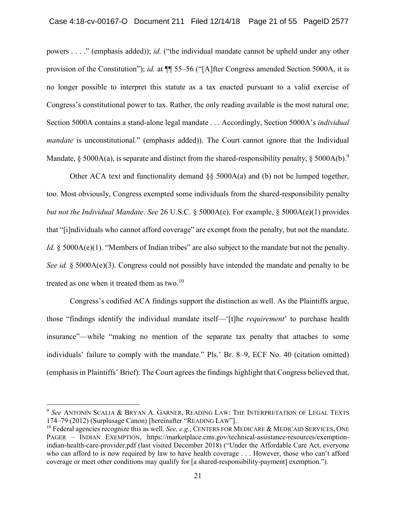powers . . . ." (emphasis added)); *id.* ("the individual mandate cannot be upheld under any other provision of the Constitution"); *id.* at ¶¶ 55–56 ("[A]fter Congress amended Section 5000A, it is no longer possible to interpret this statute as a tax enacted pursuant to a valid exercise of Congress's constitutional power to tax. Rather, the only reading available is the most natural one; Section 5000A contains a stand-alone legal mandate . . . Accordingly, Section 5000A's *individual mandate* is unconstitutional." (emphasis added)). The Court cannot ignore that the Individual Mandate, § 5000A(a), is separate and distinct from the shared-responsibility penalty, § 5000A(b).<sup>9</sup>

Other ACA text and functionality demand  $\S$ § 5000A(a) and (b) not be lumped together, too. Most obviously, Congress exempted some individuals from the shared-responsibility penalty *but not the Individual Mandate*. *See* 26 U.S.C. § 5000A(e). For example, § 5000A(e)(1) provides that "[i]ndividuals who cannot afford coverage" are exempt from the penalty, but not the mandate. *Id.*  $\&$  5000A(e)(1). "Members of Indian tribes" are also subject to the mandate but not the penalty. *See id.* § 5000A(e)(3). Congress could not possibly have intended the mandate and penalty to be treated as one when it treated them as two. $^{10}$ 

Congress's codified ACA findings support the distinction as well. As the Plaintiffs argue, those "findings identify the individual mandate itself—'[t]he *requirement*' to purchase health insurance"—while "making no mention of the separate tax penalty that attaches to some individuals' failure to comply with the mandate." Pls.' Br. 8–9, ECF No. 40 (citation omitted) (emphasis in Plaintiffs' Brief). The Court agrees the findings highlight that Congress believed that,

<sup>9</sup>*See* ANTONIN SCALIA & BRYAN A. GARNER, READING LAW: THE INTERPRETATION OF LEGAL TEXTS 174–79 (2012) (Surplusage Canon) [hereinafter "READING LAW"].

<sup>&</sup>lt;sup>10</sup> Federal agencies recognize this as well. *See, e.g.*, CENTERS FOR MEDICARE & MEDICAID SERVICES, ONE PAGER – INDIAN EXEMPTION, <https://marketplace.cms.gov/technical-assistance-resources/exemption>indian-health-care-provider.pdf (last visited December 2018) ("Under the Affordable Care Act, everyone who can afford to is now required by law to have health coverage . . . However, those who can't afford coverage or meet other conditions may qualify for [a shared-responsibility-payment] exemption.").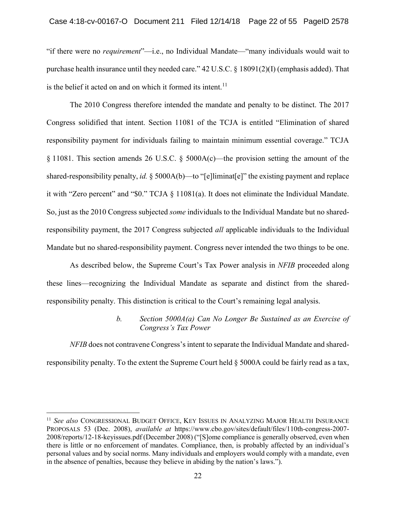"if there were no *requirement*"—i.e., no Individual Mandate—"many individuals would wait to purchase health insurance until they needed care." 42 U.S.C. § 18091(2)(I) (emphasis added). That is the belief it acted on and on which it formed its [intent.](https://intent.11)<sup>11</sup>

The 2010 Congress therefore intended the mandate and penalty to be distinct. The 2017 Congress solidified that intent. Section 11081 of the TCJA is entitled "Elimination of shared responsibility payment for individuals failing to maintain minimum essential coverage." TCJA § 11081. This section amends 26 U.S.C. § 5000A(c)—the provision setting the amount of the shared-responsibility penalty, *id.* § 5000A(b)—to "[e]liminat[e]" the existing payment and replace it with "Zero percent" and "\$0." TCJA § 11081(a). It does not eliminate the Individual Mandate. So, just as the 2010 Congress subjected *some* individuals to the Individual Mandate but no sharedresponsibility payment, the 2017 Congress subjected *all* applicable individuals to the Individual Mandate but no shared-responsibility payment. Congress never intended the two things to be one.

As described below, the Supreme Court's Tax Power analysis in *NFIB* proceeded along these lines—recognizing the Individual Mandate as separate and distinct from the sharedresponsibility penalty. This distinction is critical to the Court's remaining legal analysis.

# *b. Section 5000A(a) Can No Longer Be Sustained as an Exercise of Congress's Tax Power*

*NFIB* does not contravene Congress's intent to separate the Individual Mandate and sharedresponsibility penalty. To the extent the Supreme Court held § 5000A could be fairly read as a tax,

<sup>11</sup>*See also* CONGRESSIONAL BUDGET OFFICE, KEY ISSUES IN ANALYZING MAJOR HEALTH INSURANCE PROPOSALS 53 (Dec. 2008), *available at* <https://www.cbo.gov/sites/default/files/110th-congress-2007>- 2008/reports/12-18-keyissues.pdf (December 2008) ("[S]ome compliance is generally observed, even when there is little or no enforcement of mandates. Compliance, then, is probably affected by an individual's personal values and by social norms. Many individuals and employers would comply with a mandate, even in the absence of penalties, because they believe in abiding by the nation's laws.").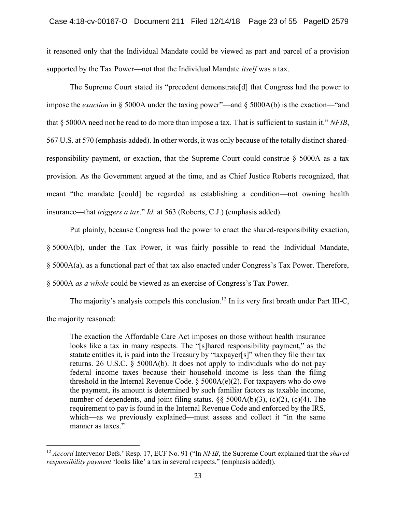it reasoned only that the Individual Mandate could be viewed as part and parcel of a provision supported by the Tax Power—not that the Individual Mandate *itself* was a tax.

The Supreme Court stated its "precedent demonstrate[d] that Congress had the power to impose the *exaction* in § 5000A under the taxing power"—and § 5000A(b) is the exaction—"and that § 5000A need not be read to do more than impose a tax. That is sufficient to sustain it." *NFIB*, 567 U.S. at 570 (emphasis added). In other words, it was only because of the totally distinct sharedresponsibility payment, or exaction, that the Supreme Court could construe  $\S$  5000A as a tax provision. As the Government argued at the time, and as Chief Justice Roberts recognized, that meant "the mandate [could] be regarded as establishing a condition—not owning health insurance—that *triggers a tax*." *Id.* at 563 (Roberts, C.J.) (emphasis added).

Put plainly, because Congress had the power to enact the shared-responsibility exaction, § 5000A(b), under the Tax Power, it was fairly possible to read the Individual Mandate, § 5000A(a), as a functional part of that tax also enacted under Congress's Tax Power. Therefore, § 5000A *as a whole* could be viewed as an exercise of Congress's Tax Power.

The majority's analysis compels this conclusion.<sup>12</sup> In its very first breath under Part III-C, the majority reasoned:

The exaction the Affordable Care Act imposes on those without health insurance looks like a tax in many respects. The "[s]hared responsibility payment," as the statute entitles it, is paid into the Treasury by "taxpayer[s]" when they file their tax returns. 26 U.S.C. § 5000A(b). It does not apply to individuals who do not pay federal income taxes because their household income is less than the filing threshold in the Internal Revenue Code.  $\S$  5000A(e)(2). For taxpayers who do owe the payment, its amount is determined by such familiar factors as taxable income, number of dependents, and joint filing status.  $\S$ § 5000A(b)(3), (c)(2), (c)(4). The requirement to pay is found in the Internal Revenue Code and enforced by the IRS, which—as we previously explained—must assess and collect it "in the same" manner as taxes."

<sup>12</sup>*Accord* Intervenor Defs.' Resp. 17, ECF No. 91 ("In *NFIB*, the Supreme Court explained that the *shared responsibility payment* 'looks like' a tax in several respects." (emphasis added)).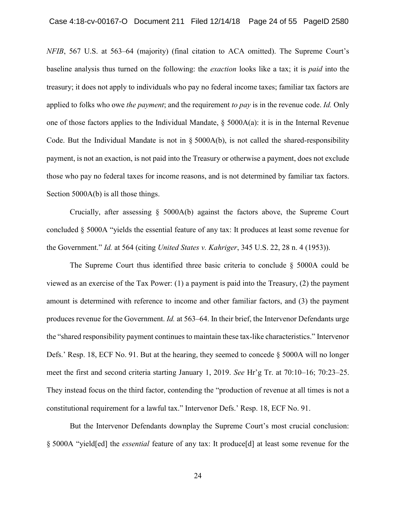baseline analysis thus turned on the following: the *exaction* looks like a tax; it is *paid* into the applied to folks who owe *the payment*; and the requirement *to pay* is in the revenue code. *Id.* Only payment, is not an exaction, is not paid into the Treasury or otherwise a payment, does not exclude those who pay no federal taxes for income reasons, and is not determined by familiar tax factors. Case 4:18-cv-00167-O Document 211 Filed 12/14/18 Page 24 of 55 PageID 2580<br>NFIB, 567 U.S. at 563 64 (anajority) (final citation to ACA omitted). The Superenc Court's<br>bassline analysis thus turned on the following: the *ex NFIB*, 567 U.S. at 563–64 (majority) (final citation to ACA omitted). The Supreme Court's treasury; it does not apply to individuals who pay no federal income taxes; familiar tax factors are one of those factors applies to the Individual Mandate,  $\S$  5000A(a): it is in the Internal Revenue Code. But the Individual Mandate is not in § 5000A(b), is not called the shared-responsibility Section 5000A(b) is all those things.

 Crucially, after assessing § 5000A(b) against the factors above, the Supreme Court concluded § 5000A "yields the essential feature of any tax: It produces at least some revenue for the Government." *Id.* at 564 (citing *United States v. Kahriger*, 345 U.S. 22, 28 n. 4 (1953)).

 viewed as an exercise of the Tax Power: (1) a payment is paid into the Treasury, (2) the payment amount is determined with reference to income and other familiar factors, and (3) the payment produces revenue for the Government. *Id.* at 563–64. In their brief, the Intervenor Defendants urge the "shared responsibility payment continues to maintain these tax-like characteristics." Intervenor Defs.' Resp. 18, ECF No. 91. But at the hearing, they seemed to concede § 5000A will no longer meet the first and second criteria starting January 1, 2019. *See* Hr'g Tr. at 70:10–16; 70:23–25. They instead focus on the third factor, contending the "production of revenue at all times is not a The Supreme Court thus identified three basic criteria to conclude § 5000A could be constitutional requirement for a lawful tax." Intervenor Defs.' Resp. 18, ECF No. 91.

 § 5000A "yield[ed] the *essential* feature of any tax: It produce[d] at least some revenue for the But the Intervenor Defendants downplay the Supreme Court's most crucial conclusion: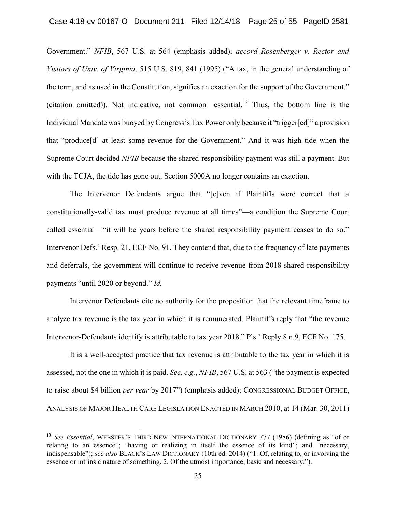Government." *NFIB*, 567 U.S. at 564 (emphasis added); *accord Rosenberger v. Rector and Visitors of Univ. of Virginia*, 515 U.S. 819, 841 (1995) ("A tax, in the general understanding of the term, and as used in the Constitution, signifies an exaction for the support of the Government." (citation omitted)). Not indicative, not common—essential.<sup>13</sup> Thus, the bottom line is the Individual Mandate was buoyed by Congress's Tax Power only because it "trigger[ed]" a provision that "produce[d] at least some revenue for the Government." And it was high tide when the Supreme Court decided *NFIB* because the shared-responsibility payment was still a payment. But with the TCJA, the tide has gone out. Section 5000A no longer contains an exaction.

The Intervenor Defendants argue that "[e]ven if Plaintiffs were correct that a constitutionally-valid tax must produce revenue at all times"—a condition the Supreme Court called essential—"it will be years before the shared responsibility payment ceases to do so." Intervenor Defs.' Resp. 21, ECF No. 91. They contend that, due to the frequency of late payments and deferrals, the government will continue to receive revenue from 2018 shared-responsibility payments "until 2020 or beyond." *Id.* 

Intervenor Defendants cite no authority for the proposition that the relevant timeframe to analyze tax revenue is the tax year in which it is remunerated. Plaintiffs reply that "the revenue Intervenor-Defendants identify is attributable to tax year 2018." Pls.' Reply 8 n.9, ECF No. 175.

It is a well-accepted practice that tax revenue is attributable to the tax year in which it is assessed, not the one in which it is paid. *See, e.g.*, *NFIB*, 567 U.S. at 563 ("the payment is expected to raise about \$4 billion *per year* by 2017") (emphasis added); CONGRESSIONAL BUDGET OFFICE, ANALYSIS OF MAJOR HEALTH CARE LEGISLATION ENACTED IN MARCH 2010, at 14 (Mar. 30, 2011)

<sup>13</sup>*See Essential*, WEBSTER'S THIRD NEW INTERNATIONAL DICTIONARY 777 (1986) (defining as "of or relating to an essence"; "having or realizing in itself the essence of its kind"; and "necessary, indispensable"); *see also* BLACK'S LAW DICTIONARY (10th ed. 2014) ("1. Of, relating to, or involving the essence or intrinsic nature of something. 2. Of the utmost importance; basic and necessary.").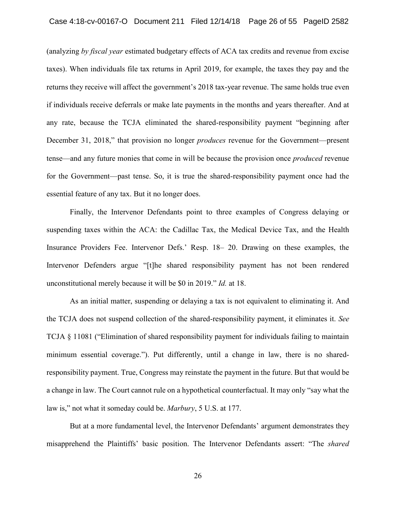taxes). When individuals file tax returns in April 2019, for example, the taxes they pay and the returns they receive will affect the government's 2018 tax-year revenue. The same holds true even if individuals receive deferrals or make late payments in the months and years thereafter. And at any rate, because the TCJA eliminated the shared-responsibility payment "beginning after December 31, 2018," that provision no longer *produces* revenue for the Government—present tense—and any future monies that come in will be because the provision once *produced* revenue for the Government—past tense. So, it is true the shared-responsibility payment once had the Case 4:18-cv-00167-O Document 211 Filed 12/14/18 Page 26 of 55 PageID 2582<br>(analyzing *hy fixcal year* estimated budgetary effects of ACA tax erectist and revenue from excise<br>taxes). When individuals file tax returns in A (analyzing *by fiscal year* estimated budgetary effects of ACA tax credits and revenue from excise essential feature of any tax. But it no longer does.

 Insurance Providers Fee. Intervenor Defs.' Resp. 18– 20. Drawing on these examples, the Intervenor Defenders argue "[t]he shared responsibility payment has not been rendered Finally, the Intervenor Defendants point to three examples of Congress delaying or suspending taxes within the ACA: the Cadillac Tax, the Medical Device Tax, and the Health unconstitutional merely because it will be \$0 in 2019." *Id.* at 18.

 the TCJA does not suspend collection of the shared-responsibility payment, it eliminates it. *See*  TCJA § 11081 ("Elimination of shared responsibility payment for individuals failing to maintain minimum essential coverage."). Put differently, until a change in law, there is no shared- a change in law. The Court cannot rule on a hypothetical counterfactual. It may only "say what the because the TCJA eliminated the shared-responsibility payment "beginning<br>
731, 2018," that provision no longer *produces* revenue for the Government—pt<br>
any future monics that come in will be because the provision once *p* As an initial matter, suspending or delaying a tax is not equivalent to eliminating it. And responsibility payment. True, Congress may reinstate the payment in the future. But that would be law is," not what it someday could be. *Marbury*, 5 U.S. at 177.

 But at a more fundamental level, the Intervenor Defendants' argument demonstrates they misapprehend the Plaintiffs' basic position. The Intervenor Defendants assert: "The *shared*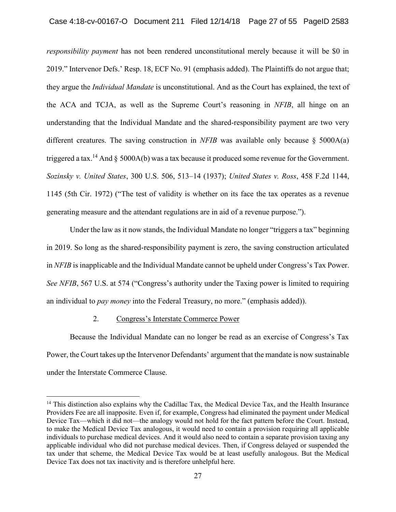*responsibility payment* has not been rendered unconstitutional merely because it will be \$0 in 2019." Intervenor Defs.' Resp. 18, ECF No. 91 (emphasis added). The Plaintiffs do not argue that; they argue the *Individual Mandate* is unconstitutional. And as the Court has explained, the text of the ACA and TCJA, as well as the Supreme Court's reasoning in *NFIB*, all hinge on an understanding that the Individual Mandate and the shared-responsibility payment are two very different creatures. The saving construction in *NFIB* was available only because § 5000A(a) triggered a tax.<sup>14</sup> And § 5000A(b) was a tax because it produced some revenue for the Government. *Sozinsky v. United States*, 300 U.S. 506, 513–14 (1937); *United States v. Ross*, 458 F.2d 1144, 1145 (5th Cir. 1972) ("The test of validity is whether on its face the tax operates as a revenue generating measure and the attendant regulations are in aid of a revenue purpose.").

Under the law as it now stands, the Individual Mandate no longer "triggers a tax" beginning in 2019. So long as the shared-responsibility payment is zero, the saving construction articulated in *NFIB* is inapplicable and the Individual Mandate cannot be upheld under Congress's Tax Power. *See NFIB*, 567 U.S. at 574 ("Congress's authority under the Taxing power is limited to requiring an individual to *pay money* into the Federal Treasury, no more." (emphasis added)).

#### 2. Congress's Interstate Commerce Power

 $\overline{a}$ 

Because the Individual Mandate can no longer be read as an exercise of Congress's Tax Power, the Court takes up the Intervenor Defendants' argument that the mandate is now sustainable under the Interstate Commerce Clause.

<sup>&</sup>lt;sup>14</sup> This distinction also explains why the Cadillac Tax, the Medical Device Tax, and the Health Insurance Providers Fee are all inapposite. Even if, for example, Congress had eliminated the payment under Medical Device Tax—which it did not—the analogy would not hold for the fact pattern before the Court. Instead, to make the Medical Device Tax analogous, it would need to contain a provision requiring all applicable individuals to purchase medical devices. And it would also need to contain a separate provision taxing any applicable individual who did not purchase medical devices. Then, if Congress delayed or suspended the tax under that scheme, the Medical Device Tax would be at least usefully analogous. But the Medical Device Tax does not tax inactivity and is therefore unhelpful here.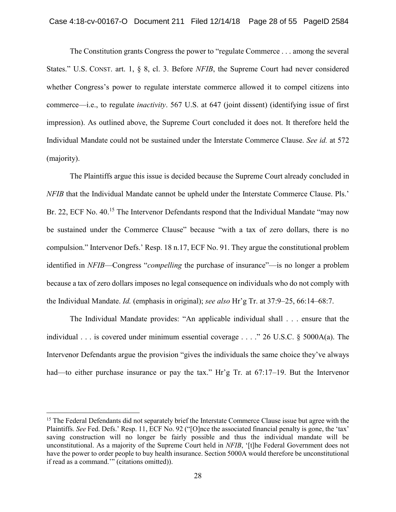The Constitution grants Congress the power to "regulate Commerce . . . among the several States." U.S. CONST. art. 1, § 8, cl. 3. Before *NFIB*, the Supreme Court had never considered whether Congress's power to regulate interstate commerce allowed it to compel citizens into commerce—i.e., to regulate *inactivity*. 567 U.S. at 647 (joint dissent) (identifying issue of first impression). As outlined above, the Supreme Court concluded it does not. It therefore held the Individual Mandate could not be sustained under the Interstate Commerce Clause. *See id.* at 572 (majority).

The Plaintiffs argue this issue is decided because the Supreme Court already concluded in *NFIB* that the Individual Mandate cannot be upheld under the Interstate Commerce Clause. Pls.' Br. 22, ECF No. 40.<sup>15</sup> The Intervenor Defendants respond that the Individual Mandate "may now be sustained under the Commerce Clause" because "with a tax of zero dollars, there is no compulsion." Intervenor Defs.' Resp. 18 n.17, ECF No. 91. They argue the constitutional problem identified in *NFIB*—Congress "*compelling* the purchase of insurance"—is no longer a problem because a tax of zero dollars imposes no legal consequence on individuals who do not comply with the Individual Mandate. *Id.* (emphasis in original); *see also* Hr'g Tr. at 37:9–25, 66:14–68:7.

The Individual Mandate provides: "An applicable individual shall . . . ensure that the individual . . . is covered under minimum essential coverage . . . ." 26 U.S.C. § 5000A(a). The Intervenor Defendants argue the provision "gives the individuals the same choice they've always had—to either purchase insurance or pay the tax." Hr'g Tr. at 67:17–19. But the Intervenor

<sup>&</sup>lt;sup>15</sup> The Federal Defendants did not separately brief the Interstate Commerce Clause issue but agree with the Plaintiffs. *See* Fed. Defs.' Resp. 11, ECF No. 92 ("[O]nce the associated financial penalty is gone, the 'tax' saving construction will no longer be fairly possible and thus the individual mandate will be unconstitutional. As a majority of the Supreme Court held in *NFIB*, '[t]he Federal Government does not have the power to order people to buy health insurance. Section 5000A would therefore be unconstitutional if read as a command.'" (citations omitted)).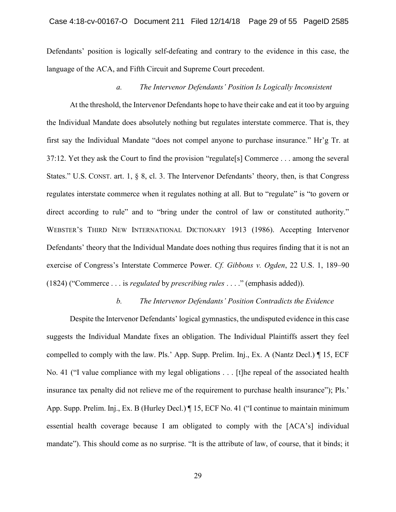Defendants' position is logically self-defeating and contrary to the evidence in this case, the language of the ACA, and Fifth Circuit and Supreme Court precedent.

## *a. The Intervenor Defendants' Position Is Logically Inconsistent*

 At the threshold, the Intervenor Defendants hope to have their cake and eat it too by arguing first say the Individual Mandate "does not compel anyone to purchase insurance." Hr'g Tr. at 37:12. Yet they ask the Court to find the provision "regulate[s] Commerce . . . among the several regulates interstate commerce when it regulates nothing at all. But to "regulate" is "to govern or direct according to rule" and to "bring under the control of law or constituted authority." Defendants' theory that the Individual Mandate does nothing thus requires finding that it is not an the Individual Mandate "does not compel anyone<br>t they ask the Court to find the provision "regulate<br>J.S. CONST. art. 1, § 8, cl. 3. The Intervenor Defen<br>interstate commerce when it regulates nothing at a<br>cording to rule" Case 4:18-cv-00167-O Document 211 Filed 12/14/18 Page 29 of 55 PageID 2585<br>
Defendants' position is logically self-defeating and contrary to the violence in this case, the<br>
language of the ACA, and Fifth Circuit and Supre the Individual Mandate does absolutely nothing but regulates interstate commerce. That is, they States." U.S. CONST. art. 1, § 8, cl. 3. The Intervenor Defendants' theory, then, is that Congress WEBSTER'S THIRD NEW INTERNATIONAL DICTIONARY 1913 (1986). Accepting Intervenor exercise of Congress's Interstate Commerce Power. *Cf. Gibbons v. Ogden*, 22 U.S. 1, 189–90 (1824) ("Commerce . . . is *regulated* by *prescribing rules* . . . ." (emphasis added)).

#### *b. The Intervenor Defendants' Position Contradicts the Evidence*

 No. 41 ("I value compliance with my legal obligations . . . [t]he repeal of the associated health insurance tax penalty did not relieve me of the requirement to purchase health insurance"); Pls.' App. Supp. Prelim. Inj., Ex. B (Hurley Decl.) ¶ 15, ECF No. 41 ("I continue to maintain minimum essential health coverage because I am obligated to comply with the [ACA's] individual mandate"). This should come as no surprise. "It is the attribute of law, of course, that it binds; it Despite the Intervenor Defendants' logical gymnastics, the undisputed evidence in this case suggests the Individual Mandate fixes an obligation. The Individual Plaintiffs assert they feel compelled to comply with the law. Pls.' App. Supp. Prelim. Inj., Ex. A (Nantz Decl.) ¶ 15, ECF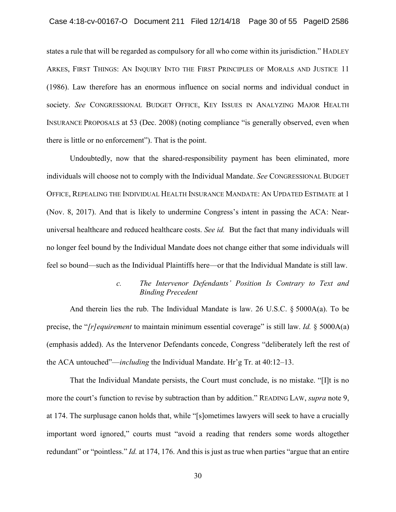states a rule that will be regarded as compulsory for all who come within its jurisdiction." HADLEY rule that will be regarded as<br>
, FIRST THINGS: AN INQUIR<br>
Law therefore has an enor<br>
. *See* CONGRESSIONAL BUI<br>
NCE PROPOSALS at 53 (Dec.<br>
little or no enforcement"). T<br>
Undoubtedly, now that the<br>
uals will choose not to c ARKES, FIRST THINGS: AN INQUIRY INTO THE FIRST PRINCIPLES OF MORALS AND JUSTICE 11 (1986). Law therefore has an enormous influence on social norms and individual conduct in society. *See* CONGRESSIONAL BUDGET OFFICE, KEY ISSUES IN ANALYZING MAJOR HEALTH INSURANCE PROPOSALS at 53 (Dec. 2008) (noting compliance "is generally observed, even when there is little or no enforcement"). That is the point.

 individuals will choose not to comply with the Individual Mandate. *See* CONGRESSIONAL BUDGET (Nov. 8, 2017). And that is likely to undermine Congress's intent in passing the ACA: Near-Case 4:18-cv-00167-O Document 211 Filed 12/14/18 Page 30 of 55 PageID 2586<br>
Sistes a rule that will be regarded as compulsory for all who come within its jurisdiction." HADLEY<br>
ARKES, FIRST THINGS: AN INQUIRY INTO THE FIR Undoubtedly, now that the shared-responsibility payment has been eliminated, more OFFICE, REPEALING THE INDIVIDUAL HEALTH INSURANCE MANDATE: AN UPDATED ESTIMATE at 1 universal healthcare and reduced healthcare costs. *See id.* But the fact that many individuals will no longer feel bound by the Individual Mandate does not change either that some individuals will feel so bound—such as the Individual Plaintiffs here—or that the Individual Mandate is still law.

# *c. The Intervenor Defendants' Position Is Contrary to Text and Binding Precedent*

 And therein lies the rub. The Individual Mandate is law. 26 U.S.C. § 5000A(a). To be (emphasis added). As the Intervenor Defendants concede, Congress "deliberately left the rest of precise, the "*[r]equirement* to maintain minimum essential coverage" is still law. *Id.* § 5000A(a) the ACA untouched"—*including* the Individual Mandate. Hr'g Tr. at 40:12–13.

 important word ignored," courts must "avoid a reading that renders some words altogether redundant" or "pointless." *Id.* at 174, 176. And this is just as true when parties "argue that an entire That the Individual Mandate persists, the Court must conclude, is no mistake. "[I]t is no more the court's function to revise by subtraction than by addition." READING LAW, *supra* note 9, at 174. The surplusage canon holds that, while "[s]ometimes lawyers will seek to have a crucially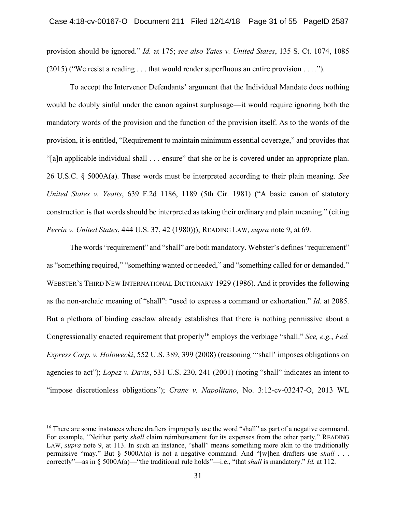provision should be ignored." *Id.* at 175; *see also Yates v. United States*, 135 S. Ct. 1074, 1085  $(2015)$  ("We resist a reading . . . that would render superfluous an entire provision . . . .").

To accept the Intervenor Defendants' argument that the Individual Mandate does nothing would be doubly sinful under the canon against surplusage—it would require ignoring both the mandatory words of the provision and the function of the provision itself. As to the words of the provision, it is entitled, "Requirement to maintain minimum essential coverage," and provides that "[a]n applicable individual shall . . . ensure" that she or he is covered under an appropriate plan. 26 U.S.C. § 5000A(a). These words must be interpreted according to their plain meaning. *See United States v. Yeatts*, 639 F.2d 1186, 1189 (5th Cir. 1981) ("A basic canon of statutory construction is that words should be interpreted as taking their ordinary and plain meaning." (citing *Perrin v. United States*, 444 U.S. 37, 42 (1980))); READING LAW, *supra* note 9, at 69.

The words "requirement" and "shall" are both mandatory. Webster's defines "requirement" as "something required," "something wanted or needed," and "something called for or demanded." WEBSTER'S THIRD NEW INTERNATIONAL DICTIONARY 1929 (1986). And it provides the following as the non-archaic meaning of "shall": "used to express a command or exhortation." *Id.* at 2085. But a plethora of binding caselaw already establishes that there is nothing permissive about a Congressionally enacted requirement that properly<sup>16</sup> employs the verbiage "shall." *See, e.g., Fed. Express Corp. v. Holowecki*, 552 U.S. 389, 399 (2008) (reasoning "'shall' imposes obligations on agencies to act"); *Lopez v. Davis*, 531 U.S. 230, 241 (2001) (noting "shall" indicates an intent to "impose discretionless obligations"); *Crane v. Napolitano*, No. 3:12-cv-03247-O, 2013 WL

<sup>&</sup>lt;sup>16</sup> There are some instances where drafters improperly use the word "shall" as part of a negative command. For example, "Neither party *shall* claim reimbursement for its expenses from the other party." READING LAW, *supra* note 9, at 113. In such an instance, "shall" means something more akin to the traditionally permissive "may." But § 5000A(a) is not a negative command. And "[w]hen drafters use *shall* . . . correctly"—as in § 5000A(a)—"the traditional rule holds"—i.e., "that *shall* is mandatory." *Id.* at 112.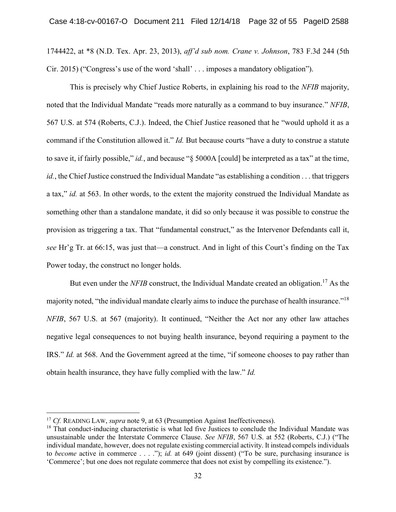1744422, at \*8 (N.D. Tex. Apr. 23, 2013), *aff'd sub nom. Crane v. Johnson*, 783 F.3d 244 (5th Cir. 2015) ("Congress's use of the word 'shall' . . . imposes a mandatory obligation").

This is precisely why Chief Justice Roberts, in explaining his road to the *NFIB* majority, noted that the Individual Mandate "reads more naturally as a command to buy insurance." *NFIB*, 567 U.S. at 574 (Roberts, C.J.). Indeed, the Chief Justice reasoned that he "would uphold it as a command if the Constitution allowed it." *Id.* But because courts "have a duty to construe a statute to save it, if fairly possible," *id.*, and because "§ 5000A [could] be interpreted as a tax" at the time, *id.*, the Chief Justice construed the Individual Mandate "as establishing a condition . . . that triggers a tax," *id.* at 563. In other words, to the extent the majority construed the Individual Mandate as something other than a standalone mandate, it did so only because it was possible to construe the provision as triggering a tax. That "fundamental construct," as the Intervenor Defendants call it, *see* Hr'g Tr. at 66:15, was just that—a construct. And in light of this Court's finding on the Tax Power today, the construct no longer holds.

But even under the *NFIB* construct, the Individual Mandate created an obligation.<sup>17</sup> As the majority noted, "the individual mandate clearly aims to induce the purchase of health insurance."<sup>18</sup> *NFIB*, 567 U.S. at 567 (majority). It continued, "Neither the Act nor any other law attaches negative legal consequences to not buying health insurance, beyond requiring a payment to the IRS." *Id.* at 568. And the Government agreed at the time, "if someone chooses to pay rather than obtain health insurance, they have fully complied with the law." *Id.* 

<sup>&</sup>lt;sup>17</sup> Cf. READING LAW, *supra* note 9, at 63 (Presumption Against Ineffectiveness).

<sup>&</sup>lt;sup>18</sup> That conduct-inducing characteristic is what led five Justices to conclude the Individual Mandate was unsustainable under the Interstate Commerce Clause. *See NFIB*, 567 U.S. at 552 (Roberts, C.J.) ("The individual mandate, however, does not regulate existing commercial activity. It instead compels individuals to *become* active in commerce . . . ."); *id.* at 649 (joint dissent) ("To be sure, purchasing insurance is 'Commerce'; but one does not regulate commerce that does not exist by compelling its existence.").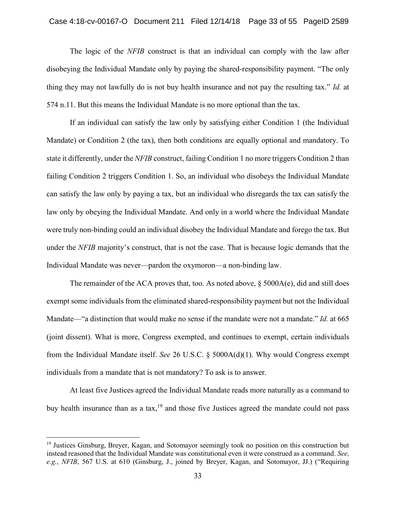The logic of the *NFIB* construct is that an individual can comply with the law after disobeying the Individual Mandate only by paying the shared-responsibility payment. "The only thing they may not lawfully do is not buy health insurance and not pay the resulting tax." *Id.* at 574 n.11. But this means the Individual Mandate is no more optional than the tax.

If an individual can satisfy the law only by satisfying either Condition 1 (the Individual Mandate) or Condition 2 (the tax), then both conditions are equally optional and mandatory. To state it differently, under the *NFIB* construct, failing Condition 1 no more triggers Condition 2 than failing Condition 2 triggers Condition 1. So, an individual who disobeys the Individual Mandate can satisfy the law only by paying a tax, but an individual who disregards the tax can satisfy the law only by obeying the Individual Mandate. And only in a world where the Individual Mandate were truly non-binding could an individual disobey the Individual Mandate and forego the tax. But under the *NFIB* majority's construct, that is not the case. That is because logic demands that the Individual Mandate was never—pardon the oxymoron—a non-binding law.

The remainder of the ACA proves that, too. As noted above,  $\S$  5000A(e), did and still does exempt some individuals from the eliminated shared-responsibility payment but not the Individual Mandate—"a distinction that would make no sense if the mandate were not a mandate." *Id.* at 665 (joint dissent). What is more, Congress exempted, and continues to exempt, certain individuals from the Individual Mandate itself. *See* 26 U.S.C. § 5000A(d)(1). Why would Congress exempt individuals from a mandate that is not mandatory? To ask is to answer.

At least five Justices agreed the Individual Mandate reads more naturally as a command to buy health insurance than as a tax,<sup>19</sup> and those five Justices agreed the mandate could not pass

<sup>19</sup> Justices Ginsburg, Breyer, Kagan, and Sotomayor seemingly took no position on this construction but instead reasoned that the Individual Mandate was constitutional even it were construed as a command. *See, e.g.*, *NFIB*, 567 U.S. at 610 (Ginsburg, J., joined by Breyer, Kagan, and Sotomayor, JJ.) ("Requiring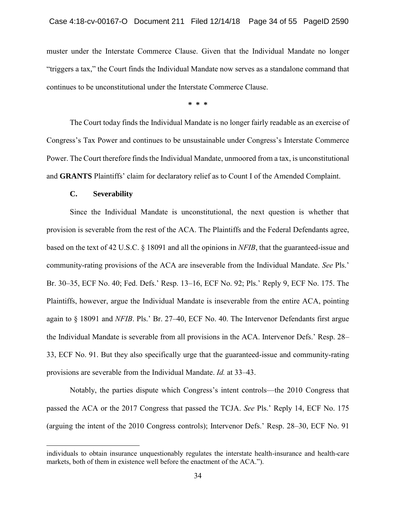muster under the Interstate Commerce Clause. Given that the Individual Mandate no longer "triggers a tax," the Court finds the Individual Mandate now serves as a standalone command that continues to be unconstitutional under the Interstate Commerce Clause.

**\* \* \*** 

The Court today finds the Individual Mandate is no longer fairly readable as an exercise of Congress's Tax Power and continues to be unsustainable under Congress's Interstate Commerce Power. The Court therefore finds the Individual Mandate, unmoored from a tax, is unconstitutional and **GRANTS** Plaintiffs' claim for declaratory relief as to Count I of the Amended Complaint.

#### **C. Severability**

 $\overline{a}$ 

Since the Individual Mandate is unconstitutional, the next question is whether that provision is severable from the rest of the ACA. The Plaintiffs and the Federal Defendants agree, based on the text of 42 U.S.C. § 18091 and all the opinions in *NFIB*, that the guaranteed-issue and community-rating provisions of the ACA are inseverable from the Individual Mandate. *See* Pls.' Br. 30–35, ECF No. 40; Fed. Defs.' Resp. 13–16, ECF No. 92; Pls.' Reply 9, ECF No. 175. The Plaintiffs, however, argue the Individual Mandate is inseverable from the entire ACA, pointing again to § 18091 and *NFIB*. Pls.' Br. 27–40, ECF No. 40. The Intervenor Defendants first argue the Individual Mandate is severable from all provisions in the ACA. Intervenor Defs.' Resp. 28– 33, ECF No. 91. But they also specifically urge that the guaranteed-issue and community-rating provisions are severable from the Individual Mandate. *Id.* at 33–43.

Notably, the parties dispute which Congress's intent controls—the 2010 Congress that passed the ACA or the 2017 Congress that passed the TCJA. *See* Pls.' Reply 14, ECF No. 175 (arguing the intent of the 2010 Congress controls); Intervenor Defs.' Resp. 28–30, ECF No. 91

individuals to obtain insurance unquestionably regulates the interstate health-insurance and health-care markets, both of them in existence well before the enactment of the ACA.").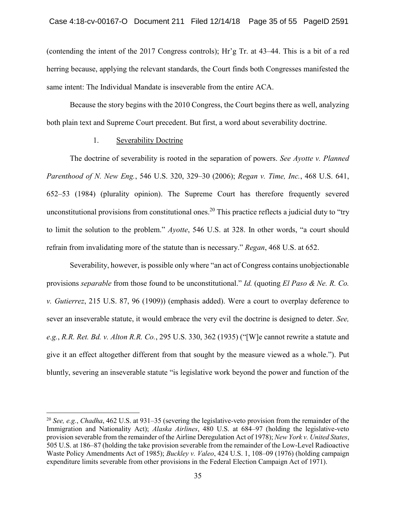(contending the intent of the 2017 Congress controls); Hr'g Tr. at 43–44. This is a bit of a red herring because, applying the relevant standards, the Court finds both Congresses manifested the same intent: The Individual Mandate is inseverable from the entire ACA.

Because the story begins with the 2010 Congress, the Court begins there as well, analyzing both plain text and Supreme Court precedent. But first, a word about severability doctrine.

## 1. Severability Doctrine

 $\overline{a}$ 

The doctrine of severability is rooted in the separation of powers. *See Ayotte v. Planned Parenthood of N. New Eng.*, 546 U.S. 320, 329–30 (2006); *Regan v. Time, Inc.*, 468 U.S. 641, 652–53 (1984) (plurality opinion). The Supreme Court has therefore frequently severed unconstitutional provisions from constitutional ones.<sup>20</sup> This practice reflects a judicial duty to "try to limit the solution to the problem." *Ayotte*, 546 U.S. at 328. In other words, "a court should refrain from invalidating more of the statute than is necessary." *Regan*, 468 U.S. at 652.

Severability, however, is possible only where "an act of Congress contains unobjectionable provisions *separable* from those found to be unconstitutional." *Id.* (quoting *El Paso & Ne. R. Co. v. Gutierrez*, 215 U.S. 87, 96 (1909)) (emphasis added). Were a court to overplay deference to sever an inseverable statute, it would embrace the very evil the doctrine is designed to deter. *See, e.g.*, *R.R. Ret. Bd. v. Alton R.R. Co.*, 295 U.S. 330, 362 (1935) ("[W]e cannot rewrite a statute and give it an effect altogether different from that sought by the measure viewed as a whole."). Put bluntly, severing an inseverable statute "is legislative work beyond the power and function of the

<sup>20</sup>*See, e.g.*, *Chadha*, 462 U.S. at 931–35 (severing the legislative-veto provision from the remainder of the Immigration and Nationality Act); *Alaska Airlines*, 480 U.S. at 684–97 (holding the legislative-veto provision severable from the remainder of the Airline Deregulation Act of 1978); *New York v. United States*, 505 U.S. at 186–87 (holding the take provision severable from the remainder of the Low-Level Radioactive Waste Policy Amendments Act of 1985); *Buckley v. Valeo*, 424 U.S. 1, 108–09 (1976) (holding campaign expenditure limits severable from other provisions in the Federal Election Campaign Act of 1971).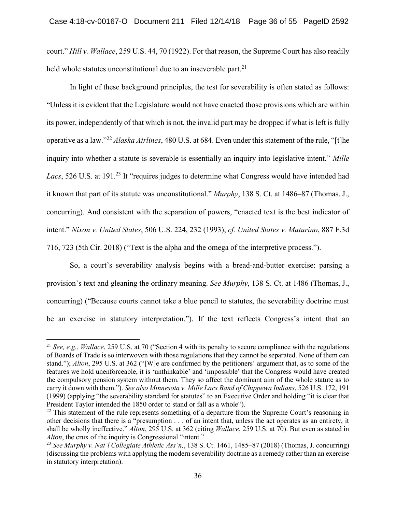court." *Hill v. Wallace*, 259 U.S. 44, 70 (1922). For that reason, the Supreme Court has also readily held whole statutes unconstitutional due to an inseverable part.<sup>21</sup>

In light of these background principles, the test for severability is often stated as follows: "Unless it is evident that the Legislature would not have enacted those provisions which are within its power, independently of that which is not, the invalid part may be dropped if what is left is fully operative as a law."<sup>22</sup>*Alaska Airlines*, 480 U.S. at 684. Even under this statement of the rule, "[t]he inquiry into whether a statute is severable is essentially an inquiry into legislative intent." *Mille*  Lacs, 526 U.S. at 191.<sup>23</sup> It "requires judges to determine what Congress would have intended had it known that part of its statute was unconstitutional." *Murphy*, 138 S. Ct. at 1486–87 (Thomas, J., concurring). And consistent with the separation of powers, "enacted text is the best indicator of intent." *Nixon v. United States*, 506 U.S. 224, 232 (1993); *cf. United States v. Maturino*, 887 F.3d 716, 723 (5th Cir. 2018) ("Text is the alpha and the omega of the interpretive process.").

So, a court's severability analysis begins with a bread-and-butter exercise: parsing a provision's text and gleaning the ordinary meaning. *See Murphy*, 138 S. Ct. at 1486 (Thomas, J., concurring) ("Because courts cannot take a blue pencil to statutes, the severability doctrine must be an exercise in statutory interpretation."). If the text reflects Congress's intent that an

<sup>21</sup>*See, e.g.*, *Wallace*, 259 U.S. at 70 ("Section 4 with its penalty to secure compliance with the regulations of Boards of Trade is so interwoven with those regulations that they cannot be separated. None of them can stand."); *Alton*, 295 U.S. at 362 ("[W]e are confirmed by the petitioners' argument that, as to some of the features we hold unenforceable, it is 'unthinkable' and 'impossible' that the Congress would have created the compulsory pension system without them. They so affect the dominant aim of the whole statute as to carry it down with them."). *See also Minnesota v. Mille Lacs Band of Chippewa Indians*, 526 U.S. 172, 191 (1999) (applying "the severability standard for statutes" to an Executive Order and holding "it is clear that President Taylor intended the 1850 order to stand or fall as a whole").

<sup>&</sup>lt;sup>22</sup> This statement of the rule represents something of a departure from the Supreme Court's reasoning in other decisions that there is a "presumption . . . of an intent that, unless the act operates as an entirety, it shall be wholly ineffective." *Alton*, 295 U.S. at 362 (citing *Wallace*, 259 U.S. at 70). But even as stated in *Alton*, the crux of the inquiry is Congressional "intent."

<sup>23</sup>*See Murphy v. Nat'l Collegiate Athletic Ass'n,*, 138 S. Ct. 1461, 1485–87 (2018) (Thomas, J. concurring) (discussing the problems with applying the modern severability doctrine as a remedy rather than an exercise in statutory interpretation).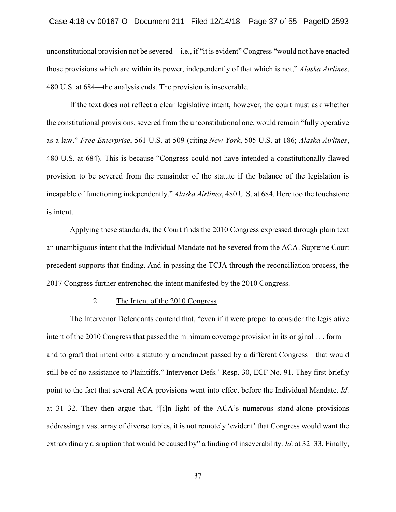unconstitutional provision not be severed—i.e., if "it is evident" Congress "would not have enacted those provisions which are within its power, independently of that which is not," *Alaska Airlines*, 480 U.S. at 684—the analysis ends. The provision is inseverable.

 If the text does not reflect a clear legislative intent, however, the court must ask whether the constitutional provisions, severed from the unconstitutional one, would remain "fully operative as a law." *Free Enterprise*, 561 U.S. at 509 (citing *New York*, 505 U.S. at 186; *Alaska Airlines*, 480 U.S. at 684). This is because "Congress could not have intended a constitutionally flawed provision to be severed from the remainder of the statute if the balance of the legislation is incapable of functioning independently." *Alaska Airlines*, 480 U.S. at 684. Here too the touchstone is intent.

 Applying these standards, the Court finds the 2010 Congress expressed through plain text an unambiguous intent that the Individual Mandate not be severed from the ACA. Supreme Court precedent supports that finding. And in passing the TCJA through the reconciliation process, the 2017 Congress further entrenched the intent manifested by the 2010 Congress.

## 2. The Intent of the 2010 Congress

 and to graft that intent onto a statutory amendment passed by a different Congress—that would still be of no assistance to Plaintiffs." Intervenor Defs.' Resp. 30, ECF No. 91. They first briefly at 31–32. They then argue that, "[i]n light of the ACA's numerous stand-alone provisions addressing a vast array of diverse topics, it is not remotely 'evident' that Congress would want the extraordinary disruption that would be caused by" a finding of inseverability. *Id.* at 32–33. Finally, onstitutional provision not be severed—i.e., if "it<br>
ie provisions which are within its power, indeper<br>
U.S. at 684—the analysis ends. The provision is<br>
If the text does not reflect a clear legislative<br>
constitutional prov Case 4:18-cv-00167-O Document 211 Filed 12/14/18 Page 37 of 55 PageID 2593<br>
unconstitutional provision not be severed—i.e., if<sup>2</sup>rit is evident<sup>o</sup> Congress "would not have enneted<br>
those provisions which are within its po The Intervenor Defendants contend that, "even if it were proper to consider the legislative intent of the 2010 Congress that passed the minimum coverage provision in its original . . . form point to the fact that several ACA provisions went into effect before the Individual Mandate. *Id.*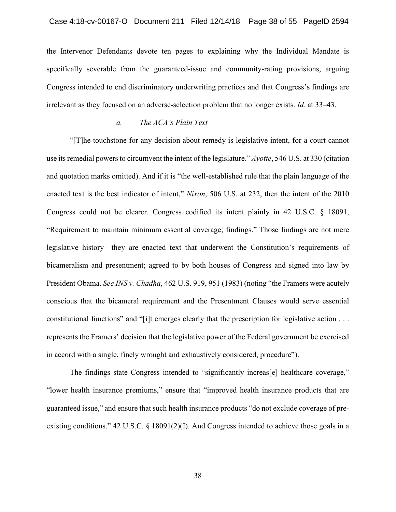the Intervenor Defendants devote ten pages to explaining why the Individual Mandate is specifically severable from the guaranteed-issue and community-rating provisions, arguing Congress intended to end discriminatory underwriting practices and that Congress's findings are irrelevant as they focused on an adverse-selection problem that no longer exists. *Id.* at 33–43.

## *a. The ACA's Plain Text*

"[T]he touchstone for any decision about remedy is legislative intent, for a court cannot use its remedial powers to circumvent the intent of the legislature." *Ayotte*, 546 U.S. at 330 (citation and quotation marks omitted). And if it is "the well-established rule that the plain language of the enacted text is the best indicator of intent," *Nixon*, 506 U.S. at 232, then the intent of the 2010 Congress could not be clearer. Congress codified its intent plainly in 42 U.S.C. § 18091, "Requirement to maintain minimum essential coverage; findings." Those findings are not mere legislative history—they are enacted text that underwent the Constitution's requirements of bicameralism and presentment; agreed to by both houses of Congress and signed into law by President Obama. *See INS v. Chadha*, 462 U.S. 919, 951 (1983) (noting "the Framers were acutely conscious that the bicameral requirement and the Presentment Clauses would serve essential constitutional functions" and "[i]t emerges clearly that the prescription for legislative action . . . represents the Framers' decision that the legislative power of the Federal government be exercised in accord with a single, finely wrought and exhaustively considered, procedure").

The findings state Congress intended to "significantly increas[e] healthcare coverage," "lower health insurance premiums," ensure that "improved health insurance products that are guaranteed issue," and ensure that such health insurance products "do not exclude coverage of preexisting conditions." 42 U.S.C. § 18091(2)(I). And Congress intended to achieve those goals in a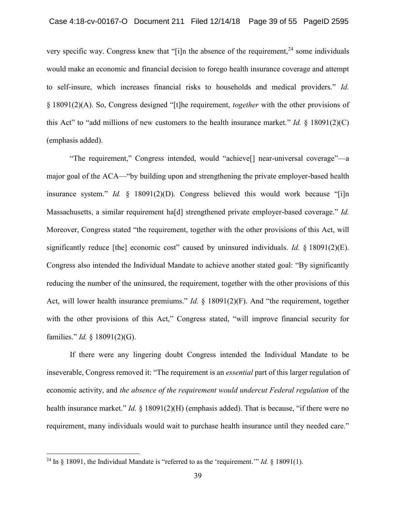very specific way. Congress knew that "[i]n the absence of the requirement,  $24$  some individuals would make an economic and financial decision to forego health insurance coverage and attempt to self-insure, which increases financial risks to households and medical providers." *Id.*  § 18091(2)(A). So, Congress designed "[t]he requirement, *together* with the other provisions of this Act" to "add millions of new customers to the health insurance market." *Id.* § 18091(2)(C) (emphasis added).

"The requirement," Congress intended, would "achieve[] near-universal coverage"—a major goal of the ACA—"by building upon and strengthening the private employer-based health insurance system." *Id.* § 18091(2)(D). Congress believed this would work because "[i]n Massachusetts, a similar requirement ha[d] strengthened private employer-based coverage." *Id.*  Moreover, Congress stated "the requirement, together with the other provisions of this Act, will significantly reduce [the] economic cost" caused by uninsured individuals. *Id.* § 18091(2)(E). Congress also intended the Individual Mandate to achieve another stated goal: "By significantly reducing the number of the uninsured, the requirement, together with the other provisions of this Act, will lower health insurance premiums." *Id.* § 18091(2)(F). And "the requirement, together with the other provisions of this Act," Congress stated, "will improve financial security for families." *Id.* § 18091(2)(G).

If there were any lingering doubt Congress intended the Individual Mandate to be inseverable, Congress removed it: "The requirement is an *essential* part of this larger regulation of economic activity, and *the absence of the requirement would undercut Federal regulation* of the health insurance market." *Id.* § 18091(2)(H) (emphasis added). That is because, "if there were no requirement, many individuals would wait to purchase health insurance until they needed care."

<sup>24</sup> In § 18091, the Individual Mandate is "referred to as the 'requirement.'" *Id.* § 18091(1).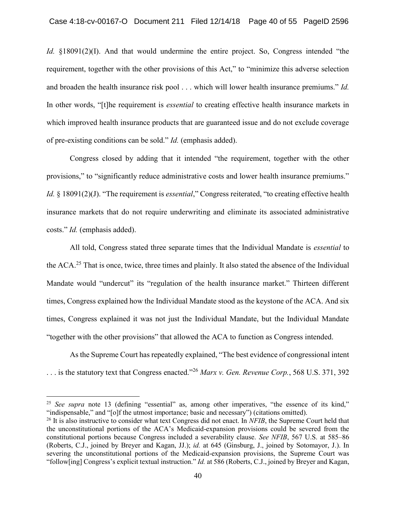*Id.*  $\S18091(2)(I)$ . And that would undermine the entire project. So, Congress intended "the requirement, together with the other provisions of this Act," to "minimize this adverse selection and broaden the health insurance risk pool . . . which will lower health insurance premiums." *Id.*  In other words, "[t]he requirement is *essential* to creating effective health insurance markets in which improved health insurance products that are guaranteed issue and do not exclude coverage of pre-existing conditions can be sold." *Id.* (emphasis added).

Congress closed by adding that it intended "the requirement, together with the other provisions," to "significantly reduce administrative costs and lower health insurance premiums." *Id.* § 18091(2)(J). "The requirement is *essential*," Congress reiterated, "to creating effective health insurance markets that do not require underwriting and eliminate its associated administrative costs." *Id.* (emphasis added).

All told, Congress stated three separate times that the Individual Mandate is *essential* to the ACA.25 That is once, twice, three times and plainly. It also stated the absence of the Individual Mandate would "undercut" its "regulation of the health insurance market." Thirteen different times, Congress explained how the Individual Mandate stood as the keystone of the ACA. And six times, Congress explained it was not just the Individual Mandate, but the Individual Mandate "together with the other provisions" that allowed the ACA to function as Congress intended.

As the Supreme Court has repeatedly explained, "The best evidence of congressional intent . . . is the statutory text that Congress enacted."<sup>26</sup>*Marx v. Gen. Revenue Corp.*, 568 U.S. 371, 392

<sup>&</sup>lt;sup>25</sup> See supra note 13 (defining "essential" as, among other imperatives, "the essence of its kind," "indispensable," and "[o]f the utmost importance; basic and necessary") (citations omitted).

<sup>&</sup>lt;sup>26</sup> It is also instructive to consider what text Congress did not enact. In *NFIB*, the Supreme Court held that the unconstitutional portions of the ACA's Medicaid-expansion provisions could be severed from the constitutional portions because Congress included a severability clause. *See NFIB*, 567 U.S. at 585–86 (Roberts, C.J., joined by Breyer and Kagan, JJ.); *id.* at 645 (Ginsburg, J., joined by Sotomayor, J.). In severing the unconstitutional portions of the Medicaid-expansion provisions, the Supreme Court was "follow[ing] Congress's explicit textual instruction." *Id.* at 586 (Roberts, C.J., joined by Breyer and Kagan,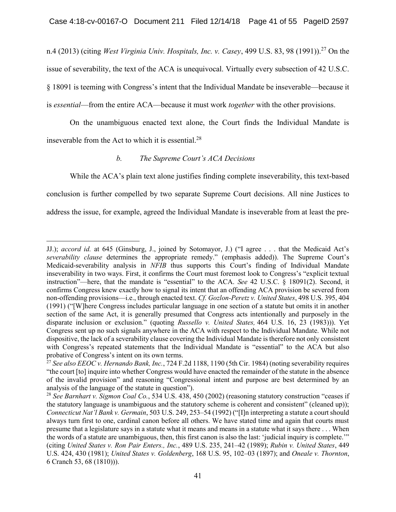n.4 (2013) (citing *West Virginia Univ. Hospitals, Inc. v. Casey*, 499 U.S. 83, 98 (1991)).<sup>27</sup> On the issue of severability, the text of the ACA is unequivocal. Virtually every subsection of 42 U.S.C. § 18091 is teeming with Congress's intent that the Individual Mandate be inseverable—because it is *essential*—from the entire ACA—because it must work *together* with the other provisions.

On the unambiguous enacted text alone, the Court finds the Individual Mandate is inseverable from the Act to which it is [essential.](https://essential.28)<sup>28</sup>

# *b. The Supreme Court's ACA Decisions*

While the ACA's plain text alone justifies finding complete inseverability, this text-based conclusion is further compelled by two separate Supreme Court decisions. All nine Justices to address the issue, for example, agreed the Individual Mandate is inseverable from at least the pre-

 $\overline{a}$ JJ.); *accord id.* at 645 (Ginsburg, J., joined by Sotomayor, J.) ("I agree . . . that the Medicaid Act's *severability clause* determines the appropriate remedy." (emphasis added)). The Supreme Court's Medicaid-severability analysis in *NFIB* thus supports this Court's finding of Individual Mandate inseverability in two ways. First, it confirms the Court must foremost look to Congress's "explicit textual instruction"—here, that the mandate is "essential" to the ACA. *See* 42 U.S.C. § 18091(2). Second, it confirms Congress knew exactly how to signal its intent that an offending ACA provision be severed from non-offending provisions—i.e., through enacted text. *Cf. Gozlon-Peretz v. United States*, 498 U.S. 395, 404 (1991) ("[W]here Congress includes particular language in one section of a statute but omits it in another section of the same Act, it is generally presumed that Congress acts intentionally and purposely in the disparate inclusion or exclusion." (quoting *Russello v. United States,* 464 U.S. 16, 23 (1983))). Yet Congress sent up no such signals anywhere in the ACA with respect to the Individual Mandate. While not dispositive, the lack of a severability clause covering the Individual Mandate is therefore not only consistent with Congress's repeated statements that the Individual Mandate is "essential" to the ACA but also probative of Congress's intent on its own terms.

<sup>27</sup>*See also EEOC v. Hernando Bank, Inc.*, 724 F.2d 1188, 1190 (5th Cir. 1984) (noting severability requires "the court [to] inquire into whether Congress would have enacted the remainder of the statute in the absence of the invalid provision" and reasoning "Congressional intent and purpose are best determined by an analysis of the language of the statute in question").

<sup>28</sup>*See Barnhart v. Sigmon Coal Co.*, 534 U.S. 438, 450 (2002) (reasoning statutory construction "ceases if the statutory language is unambiguous and the statutory scheme is coherent and consistent" (cleaned up)); *Connecticut Nat'l Bank v. Germain*, 503 U.S. 249, 253–54 (1992) ("[I]n interpreting a statute a court should always turn first to one, cardinal canon before all others. We have stated time and again that courts must presume that a legislature says in a statute what it means and means in a statute what it says there . . . When the words of a statute are unambiguous, then, this first canon is also the last: 'judicial inquiry is complete.'" (citing *United States v. Ron Pair Enters., Inc.*, 489 U.S. 235, 241–42 (1989); *Rubin v. United States*, 449 U.S. 424, 430 (1981); *United States v. Goldenberg*, 168 U.S. 95, 102–03 (1897); and *Oneale v. Thornton*, 6 Cranch 53, 68 (1810))).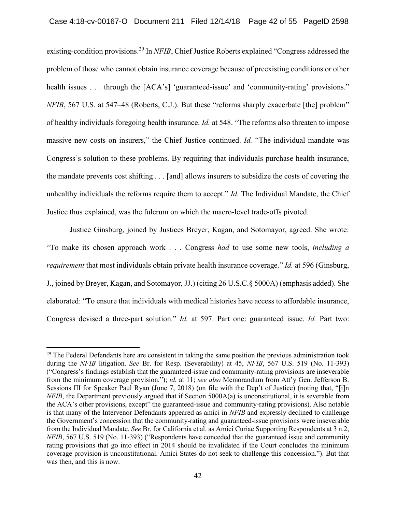existing-condition [provisions.](https://provisions.29)29 In *NFIB*, Chief Justice Roberts explained "Congress addressed the problem of those who cannot obtain insurance coverage because of preexisting conditions or other health issues . . . through the [ACA's] 'guaranteed-issue' and 'community-rating' provisions." *NFIB*, 567 U.S. at 547–48 (Roberts, C.J.). But these "reforms sharply exacerbate [the] problem" of healthy individuals foregoing health insurance. *Id.* at 548. "The reforms also threaten to impose massive new costs on insurers," the Chief Justice continued. *Id.* "The individual mandate was Congress's solution to these problems. By requiring that individuals purchase health insurance, the mandate prevents cost shifting . . . [and] allows insurers to subsidize the costs of covering the unhealthy individuals the reforms require them to accept." *Id.* The Individual Mandate, the Chief Justice thus explained, was the fulcrum on which the macro-level trade-offs pivoted.

Justice Ginsburg, joined by Justices Breyer, Kagan, and Sotomayor, agreed. She wrote: "To make its chosen approach work . . . Congress *had* to use some new tools, *including a requirement* that most individuals obtain private health insurance coverage." *Id.* at 596 (Ginsburg, J., joined by Breyer, Kagan, and Sotomayor, JJ.) (citing 26 U.S.C.§ 5000A) (emphasis added). She elaborated: "To ensure that individuals with medical histories have access to affordable insurance, Congress devised a three-part solution." *Id.* at 597. Part one: guaranteed issue. *Id.* Part two:

<sup>&</sup>lt;sup>29</sup> The Federal Defendants here are consistent in taking the same position the previous administration took during the *NFIB* litigation. *See* Br. for Resp. (Severability) at 45, *NFIB*, 567 U.S. 519 (No. 11-393) ("Congress's findings establish that the guaranteed-issue and community-rating provisions are inseverable from the minimum coverage provision."); *id.* at 11; *see also* Memorandum from Att'y Gen. Jefferson B. Sessions III for Speaker Paul Ryan (June 7, 2018) (on file with the Dep't of Justice) (noting that, "[i]n *NFIB*, the Department previously argued that if Section 5000A(a) is unconstitutional, it is severable from the ACA's other provisions, except" the guaranteed-issue and community-rating provisions). Also notable is that many of the Intervenor Defendants appeared as amici in *NFIB* and expressly declined to challenge the Government's concession that the community-rating and guaranteed-issue provisions were inseverable from the Individual Mandate. *See* Br. for California et al. as Amici Curiae Supporting Respondents at 3 n.2, *NFIB*, 567 U.S. 519 (No. 11-393) ("Respondents have conceded that the guaranteed issue and community rating provisions that go into effect in 2014 should be invalidated if the Court concludes the minimum coverage provision is unconstitutional. Amici States do not seek to challenge this concession."). But that was then, and this is now.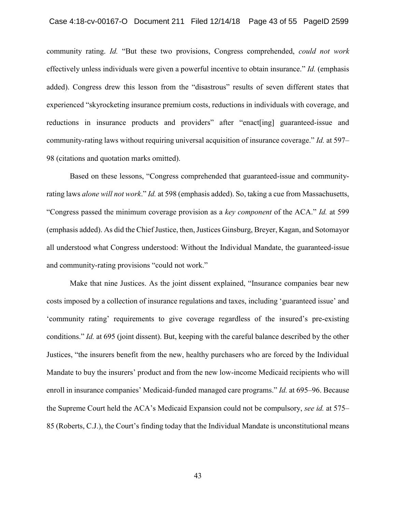experienced "skyrocketing insurance premium costs, reductions in individuals with coverage, and reductions in insurance products and providers" after "enact[ing] guaranteed-issue and community-rating laws without requiring universal acquisition of insurance coverage." *Id.* at 597– community rating. *Id.* "But these two provisions, Congress comprehended, *could not work*  effectively unless individuals were given a powerful incentive to obtain insurance." *Id.* (emphasis added). Congress drew this lesson from the "disastrous" results of seven different states that 98 (citations and quotation marks omitted).

 rating laws *alone will not work*." *Id.* at 598 (emphasis added). So, taking a cue from Massachusetts, insurance premium costs, reductions in individua<br>products and providers" after "enact[ing] g<br>hout requiring universal acquisition of insurance c<br>marks omitted).<br>sons, "Congress comprehended that guaranteed-is<br>*vork." Id.* Based on these lessons, "Congress comprehended that guaranteed-issue and community-"Congress passed the minimum coverage provision as a *key component* of the ACA." *Id.* at 599 (emphasis added). As did the Chief Justice, then, Justices Ginsburg, Breyer, Kagan, and Sotomayor all understood what Congress understood: Without the Individual Mandate, the guaranteed-issue and community-rating provisions "could not work."

 conditions." *Id.* at 695 (joint dissent). But, keeping with the careful balance described by the other Justices, "the insurers benefit from the new, healthy purchasers who are forced by the Individual enroll in insurance companies' Medicaid-funded managed care programs." *Id.* at 695–96. Because 85 (Roberts, C.J.), the Court's finding today that the Individual Mandate is unconstitutional means Case 4:18-cv-00167-O Document 211 Filed 12/14/18 Page 43 of 55 PageID 2599<br>
community rating. *Id* "But these two provisions, Congress comprehended, *could not work*<br>
effectively unless individuals were given a powerful i Make that nine Justices. As the joint dissent explained, "Insurance companies bear new costs imposed by a collection of insurance regulations and taxes, including 'guaranteed issue' and 'community rating' requirements to give coverage regardless of the insured's pre-existing Mandate to buy the insurers' product and from the new low-income Medicaid recipients who will the Supreme Court held the ACA's Medicaid Expansion could not be compulsory, *see id.* at 575–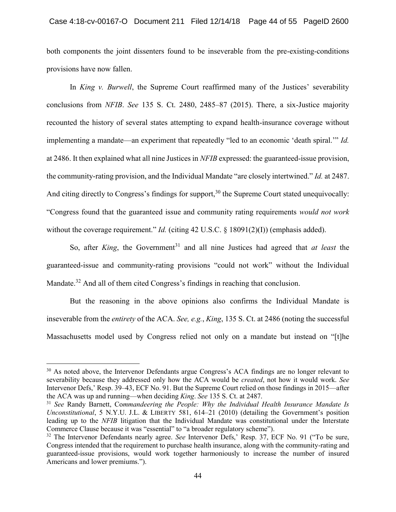both components the joint dissenters found to be inseverable from the pre-existing-conditions provisions have now fallen.

In *King v. Burwell*, the Supreme Court reaffirmed many of the Justices' severability conclusions from *NFIB*. *See* 135 S. Ct. 2480, 2485–87 (2015). There, a six-Justice majority recounted the history of several states attempting to expand health-insurance coverage without implementing a mandate—an experiment that repeatedly "led to an economic 'death spiral.'" *Id.*  at 2486. It then explained what all nine Justices in *NFIB* expressed: the guaranteed-issue provision, the community-rating provision, and the Individual Mandate "are closely intertwined." *Id.* at 2487. And citing directly to Congress's findings for support,  $30$  the Supreme Court stated unequivocally: "Congress found that the guaranteed issue and community rating requirements *would not work*  without the coverage requirement." *Id.* (citing 42 U.S.C. § 18091(2)(I)) (emphasis added).

So, after *King*, the Government<sup>31</sup> and all nine Justices had agreed that *at least* the guaranteed-issue and community-rating provisions "could not work" without the Individual [Mandate.](https://Mandate.32)<sup>32</sup> And all of them cited Congress's findings in reaching that conclusion.

But the reasoning in the above opinions also confirms the Individual Mandate is inseverable from the *entirety* of the ACA. *See, e.g.*, *King*, 135 S. Ct. at 2486 (noting the successful Massachusetts model used by Congress relied not only on a mandate but instead on "[t]he

<sup>&</sup>lt;sup>30</sup> As noted above, the Intervenor Defendants argue Congress's ACA findings are no longer relevant to severability because they addressed only how the ACA would be *created*, not how it would work. *See*  Intervenor Defs,' Resp. 39–43, ECF No. 91. But the Supreme Court relied on those findings in 2015—after the ACA was up and running—when deciding *King*. *See* 135 S. Ct. at 2487.

<sup>31</sup>*See* Randy Barnett, Co*mmandeering the People: Why the Individual Health Insurance Mandate Is Unconstitutional*, 5 N.Y.U. J.L. & LIBERTY 581, 614–21 (2010) (detailing the Government's position leading up to the *NFIB* litigation that the Individual Mandate was constitutional under the Interstate Commerce Clause because it was "essential" to "a broader regulatory scheme").

<sup>32</sup> The Intervenor Defendants nearly agree. *See* Intervenor Defs,' Resp. 37, ECF No. 91 ("To be sure, Congress intended that the requirement to purchase health insurance, along with the community-rating and guaranteed-issue provisions, would work together harmoniously to increase the number of insured Americans and lower premiums.").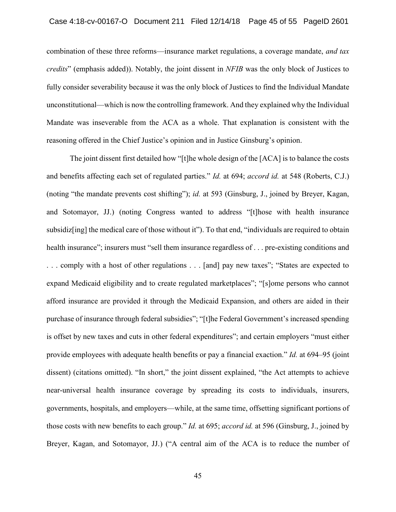combination of these three reforms—insurance market regulations, a coverage mandate, *and tax credits*" (emphasis added)). Notably, the joint dissent in *NFIB* was the only block of Justices to fully consider severability because it was the only block of Justices to find the Individual Mandate Mandate was inseverable from the ACA as a whole. That explanation is consistent with the unconstitutional—which is now the controlling framework. And they explained why the Individual reasoning offered in the Chief Justice's opinion and in Justice Ginsburg's opinion.

 The joint dissent first detailed how "[t]he whole design of the [ACA] is to balance the costs . . . comply with a host of other regulations . . . [and] pay new taxes"; "States are expected to ... comply with a host of other regulations ... [and] pay new taxes"; "States are expected to<br>expand Medicaid eligibility and to create regulated marketplaces"; "[s]ome persons who cannot afford insurance are provided it through the Medicaid Expansion, and others are aided in their purchase of insurance through federal subsidies"; "[t]he Federal Government's increased spending near-universal health insurance coverage by spreading its costs to individuals, insurers, Breyer, Kagan, and Sotomayor, JJ.) ("A central aim of the ACA is to reduce the number of of insurance through federal subsidies"; "<br>by new taxes and cuts in other federal exp<br>employees with adequate health benefits o<br>(citations omitted). "In short," the joint d<br>versal health insurance coverage by s<br>ents, hospi and benefits affecting each set of regulated parties." *Id.* at 694; *accord id.* at 548 (Roberts, C.J.) (noting "the mandate prevents cost shifting"); *id.* at 593 (Ginsburg, J., joined by Breyer, Kagan, and Sotomayor, JJ.) (noting Congress wanted to address "[t]hose with health insurance subsidiz[ing] the medical care of those without it"). To that end, "individuals are required to obtain health insurance"; insurers must "sell them insurance regardless of . . . pre-existing conditions and is offset by new taxes and cuts in other federal expenditures"; and certain employers "must either provide employees with adequate health benefits or pay a financial exaction." *Id.* at 694–95 (joint dissent) (citations omitted). "In short," the joint dissent explained, "the Act attempts to achieve governments, hospitals, and employers—while, at the same time, offsetting significant portions of those costs with new benefits to each group." *Id.* at 695; *accord id.* at 596 (Ginsburg, J., joined by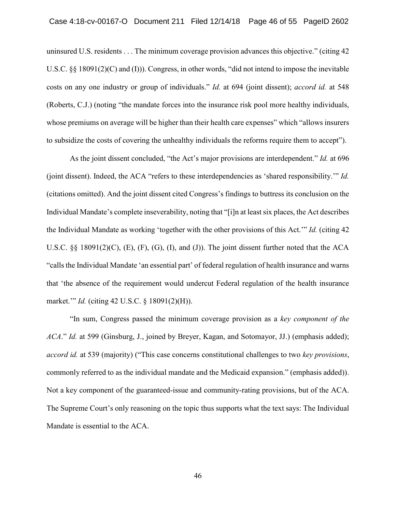uninsured U.S. residents . . . The minimum coverage provision advances this objective." (citing 42 costs on any one industry or group of individuals." *Id.* at 694 (joint dissent); *accord id.* at 548 uninsured U.S. residents ... The minimum coverage provision advances this objective." (citing 42<br>U.S.C. §§ 18091(2)(C) and (I))). Congress, in other words, "did not intend to impose the inevitable<br>costs on any one industry whose premiums on average will be higher than their health care expenses" which "allows insurers U.S.C.  $\S$  18091(2)(C) and (I))). Congress, in other words, "did not intend to impose the inevitable to subsidize the costs of covering the unhealthy individuals the reforms require them to accept").

 (citations omitted). And the joint dissent cited Congress's findings to buttress its conclusion on the Individual Mandate's complete inseverability, noting that "[i]n at least six places, the Act describes U.S.C.  $\S$  18091(2)(C), (E), (F), (G), (I), and (J)). The joint dissent further noted that the ACA "calls the Individual Mandate 'an essential part' of federal regulation of health insurance and warns that 'the absence of the requirement would undercut Federal regulation of the health insurance Case 4:18-cv-00167-O Document 211 Filed 12/14/18 Page 46 of 55 PageID 2602<br>
uninsured U.S. residents ... The minimum enverage provision advances this objective." (eiting 42<br>
U.S.C. § 18091(2)(C) and (I))). Congress, in ot As the joint dissent concluded, "the Act's major provisions are interdependent." *Id.* at 696 (joint dissent). Indeed, the ACA "refers to these interdependencies as 'shared responsibility.'" *Id.*  the Individual Mandate as working 'together with the other provisions of this Act.'" *Id.* (citing 42 market.'" *Id.* (citing 42 U.S.C. § 18091(2)(H)).

 *ACA*." *Id.* at 599 (Ginsburg, J., joined by Breyer, Kagan, and Sotomayor, JJ.) (emphasis added); Not a key component of the guaranteed-issue and community-rating provisions, but of the ACA. The Supreme Court's only reasoning on the topic thus supports what the text says: The Individual "In sum, Congress passed the minimum coverage provision as a *key component of the accord id.* at 539 (majority) ("This case concerns constitutional challenges to two *key provisions*, commonly referred to as the individual mandate and the Medicaid expansion." (emphasis added)). Mandate is essential to the ACA.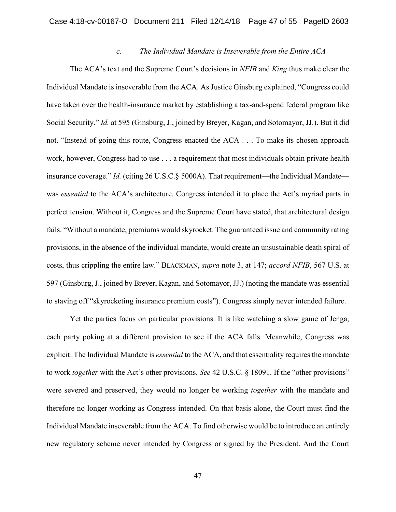## *c. The Individual Mandate is Inseverable from the Entire ACA*

The ACA's text and the Supreme Court's decisions in *NFIB* and *King* thus make clear the Individual Mandate is inseverable from the ACA. As Justice Ginsburg explained, "Congress could have taken over the health-insurance market by establishing a tax-and-spend federal program like Social Security." *Id.* at 595 (Ginsburg, J., joined by Breyer, Kagan, and Sotomayor, JJ.). But it did not. "Instead of going this route, Congress enacted the ACA . . . To make its chosen approach work, however, Congress had to use . . . a requirement that most individuals obtain private health insurance coverage." *Id.* (citing 26 U.S.C.§ 5000A). That requirement—the Individual Mandate was *essential* to the ACA's architecture. Congress intended it to place the Act's myriad parts in perfect tension. Without it, Congress and the Supreme Court have stated, that architectural design fails. "Without a mandate, premiums would skyrocket. The guaranteed issue and community rating provisions, in the absence of the individual mandate, would create an unsustainable death spiral of costs, thus crippling the entire law." BLACKMAN, *supra* note 3, at 147; *accord NFIB*, 567 U.S. at 597 (Ginsburg, J., joined by Breyer, Kagan, and Sotomayor, JJ.) (noting the mandate was essential to staving off "skyrocketing insurance premium costs"). Congress simply never intended failure.

Yet the parties focus on particular provisions. It is like watching a slow game of Jenga, each party poking at a different provision to see if the ACA falls. Meanwhile, Congress was explicit: The Individual Mandate is *essential* to the ACA, and that essentiality requires the mandate to work *together* with the Act's other provisions. *See* 42 U.S.C. § 18091. If the "other provisions" were severed and preserved, they would no longer be working *together* with the mandate and therefore no longer working as Congress intended. On that basis alone, the Court must find the Individual Mandate inseverable from the ACA. To find otherwise would be to introduce an entirely new regulatory scheme never intended by Congress or signed by the President. And the Court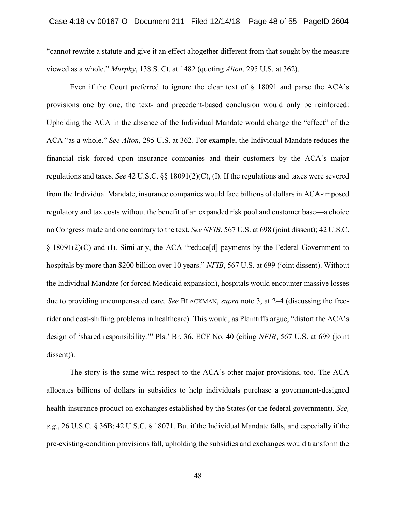"cannot rewrite a statute and give it an effect altogether different from that sought by the measure viewed as a whole." *Murphy*, 138 S. Ct. at 1482 (quoting *Alton*, 295 U.S. at 362).

 provisions one by one, the text- and precedent-based conclusion would only be reinforced: ACA "as a whole." *See Alton*, 295 U.S. at 362. For example, the Individual Mandate reduces the financial risk forced upon insurance companies and their customers by the ACA's major regulatory and tax costs without the benefit of an expanded risk pool and customer base—a choice no Congress made and one contrary to the text. *See NFIB*, 567 U.S. at 698 (joint dissent); 42 U.S.C. § 18091(2)(C) and (I). Similarly, the ACA "reduce[d] payments by the Federal Government to hospitals by more than \$200 billion over 10 years." *NFIB*, 567 U.S. at 699 (joint dissent). Without due to providing uncompensated care. *See* BLACKMAN, *supra* note 3, at 2–4 (discussing the freewhole." *See Alton*, 295 U.S. at 362. For example, the Indi<br>isk forced upon insurance companies and their custon<br>and taxes. *See* 42 U.S.C. §§ 18091(2)(C), (I). If the regulat<br>dividual Mandate, insurance companies would f Case 4:18-cv-00167-O Document 211 Filed 12/14/18 Page 48 of 55 PageID 2604<br>
"cannot rewrite a statute and give it an effect altogether different from that sought by the measure<br>
viewed as a whole." *Murphy*, 138 S. Ct. at Even if the Court preferred to ignore the clear text of  $\S$  18091 and parse the ACA's Upholding the ACA in the absence of the Individual Mandate would change the "effect" of the regulations and taxes. *See* 42 U.S.C. §§ 18091(2)(C), (I). If the regulations and taxes were severed from the Individual Mandate, insurance companies would face billions of dollars in ACA-imposed the Individual Mandate (or forced Medicaid expansion), hospitals would encounter massive losses rider and cost-shifting problems in healthcare). This would, as Plaintiffs argue, "distort the ACA's design of 'shared responsibility.'" Pls.' Br. 36, ECF No. 40 (citing *NFIB*, 567 U.S. at 699 (joint dissent)).

 The story is the same with respect to the ACA's other major provisions, too. The ACA allocates billions of dollars in subsidies to help individuals purchase a government-designed health-insurance product on exchanges established by the States (or the federal government). *See, e.g.*, 26 U.S.C. § 36B; 42 U.S.C. § 18071. But if the Individual Mandate falls, and especially if the pre-existing-condition provisions fall, upholding the subsidies and exchanges would transform the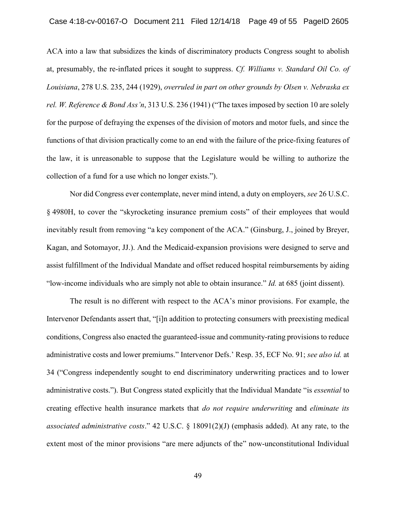ACA into a law that subsidizes the kinds of discriminatory products Congress sought to abolish at, presumably, the re-inflated prices it sought to suppress. *Cf. Williams v. Standard Oil Co. of Louisiana*, 278 U.S. 235, 244 (1929), *overruled in part on other grounds by Olsen v. Nebraska ex rel. W. Reference & Bond Ass'n*, 313 U.S. 236 (1941) ("The taxes imposed by section 10 are solely for the purpose of defraying the expenses of the division of motors and motor fuels, and since the functions of that division practically come to an end with the failure of the price-fixing features of the law, it is unreasonable to suppose that the Legislature would be willing to authorize the collection of a fund for a use which no longer exists.").

Nor did Congress ever contemplate, never mind intend, a duty on employers, *see* 26 U.S.C. § 4980H, to cover the "skyrocketing insurance premium costs" of their employees that would inevitably result from removing "a key component of the ACA." (Ginsburg, J., joined by Breyer, Kagan, and Sotomayor, JJ.). And the Medicaid-expansion provisions were designed to serve and assist fulfillment of the Individual Mandate and offset reduced hospital reimbursements by aiding "low-income individuals who are simply not able to obtain insurance." *Id.* at 685 (joint dissent).

The result is no different with respect to the ACA's minor provisions. For example, the Intervenor Defendants assert that, "[i]n addition to protecting consumers with preexisting medical conditions, Congress also enacted the guaranteed-issue and community-rating provisions to reduce administrative costs and lower premiums." Intervenor Defs.' Resp. 35, ECF No. 91; *see also id.* at 34 ("Congress independently sought to end discriminatory underwriting practices and to lower administrative costs."). But Congress stated explicitly that the Individual Mandate "is *essential* to creating effective health insurance markets that *do not require underwriting* and *eliminate its associated administrative costs*." 42 U.S.C. § 18091(2)(J) (emphasis added). At any rate, to the extent most of the minor provisions "are mere adjuncts of the" now-unconstitutional Individual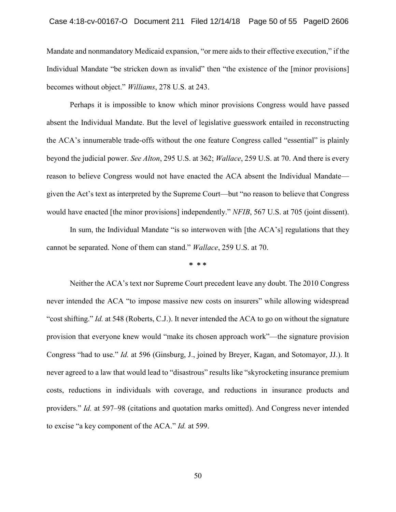Individual Mandate "be stricken down as invalid" then "the existence of the [minor provisions] Mandate and nonmandatory Medicaid expansion, "or mere aids to their effective execution," if the becomes without object." *Williams*, 278 U.S. at 243.

 Perhaps it is impossible to know which minor provisions Congress would have passed the ACA's innumerable trade-offs without the one feature Congress called "essential" is plainly given the Act's text as interpreted by the Supreme Court—but "no reason to believe that Congress Case 4:18-cv-00167-O Document 211 Filed 12/14/18 Page 50 of 55 PageID 2606<br>Mandate and nonmandatory Medicaid expansion, "or mere sids to their effective execution," if the<br>Individual Mandate "be stricken down as invalid" absent the Individual Mandate. But the level of legislative guesswork entailed in reconstructing beyond the judicial power. *See Alton*, 295 U.S. at 362; *Wallace*, 259 U.S. at 70. And there is every reason to believe Congress would not have enacted the ACA absent the Individual Mandate would have enacted [the minor provisions] independently." *NFIB*, 567 U.S. at 705 (joint dissent).

In sum, the Individual Mandate "is so interwoven with [the ACA's] regulations that they cannot be separated. None of them can stand." *Wallace*, 259 U.S. at 70.

**\* \* \*** 

 never intended the ACA "to impose massive new costs on insurers" while allowing widespread never agreed to a law that would lead to "disastrous" results like "skyrocketing insurance premium Neither the ACA's text nor Supreme Court precedent leave any doubt. The 2010 Congress "cost shifting." *Id.* at 548 (Roberts, C.J.). It never intended the ACA to go on without the signature provision that everyone knew would "make its chosen approach work"—the signature provision Congress "had to use." *Id.* at 596 (Ginsburg, J., joined by Breyer, Kagan, and Sotomayor, JJ.). It costs, reductions in individuals with coverage, and reductions in insurance products and providers." *Id.* at 597–98 (citations and quotation marks omitted). And Congress never intended to excise "a key component of the ACA." *Id.* at 599.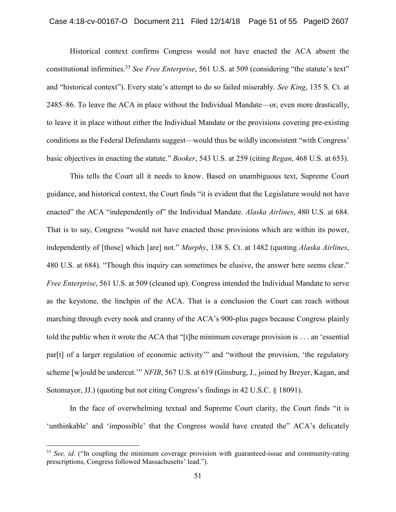Historical context confirms Congress would not have enacted the ACA absent the constitutional [infirmities.33](https://infirmities.33) *See Free Enterprise*, 561 U.S. at 509 (considering "the statute's text" and "historical context"). Every state's attempt to do so failed miserably. *See King*, 135 S. Ct. at 2485–86. To leave the ACA in place without the Individual Mandate—or, even more drastically, to leave it in place without either the Individual Mandate or the provisions covering pre-existing conditions as the Federal Defendants suggest—would thus be wildly inconsistent "with Congress' basic objectives in enacting the statute." *Booker*, 543 U.S. at 259 (citing *Regan*, 468 U.S. at 653).

This tells the Court all it needs to know. Based on unambiguous text, Supreme Court guidance, and historical context, the Court finds "it is evident that the Legislature would not have enacted" the ACA "independently of" the Individual Mandate. *Alaska Airlines*, 480 U.S. at 684. That is to say, Congress "would not have enacted those provisions which are within its power, independently of [those] which [are] not." *Murphy*, 138 S. Ct. at 1482 (quoting *Alaska Airlines*, 480 U.S. at 684). "Though this inquiry can sometimes be elusive, the answer here seems clear." *Free Enterprise*, 561 U.S. at 509 (cleaned up). Congress intended the Individual Mandate to serve as the keystone, the linchpin of the ACA. That is a conclusion the Court can reach without marching through every nook and cranny of the ACA's 900-plus pages because Congress plainly told the public when it wrote the ACA that "[t]he minimum coverage provision is . . . an 'essential par[t] of a larger regulation of economic activity" and "without the provision, 'the regulatory scheme [w]ould be undercut.'" *NFIB*, 567 U.S. at 619 (Ginsburg, J., joined by Breyer, Kagan, and Sotomayor, JJ.) (quoting but not citing Congress's findings in 42 U.S.C. § 18091).

In the face of overwhelming textual and Supreme Court clarity, the Court finds "it is 'unthinkable' and 'impossible' that the Congress would have created the" ACA's delicately

<sup>&</sup>lt;sup>33</sup> See, id. ("In coupling the minimum coverage provision with guaranteed-issue and community-rating prescriptions, Congress followed Massachusetts' lead.").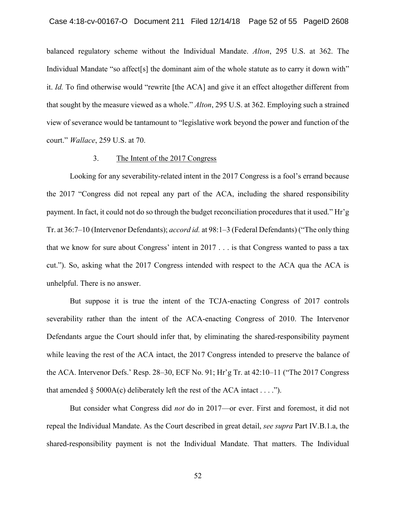Individual Mandate "so affect[s] the dominant aim of the whole statute as to carry it down with" it. *Id.* To find otherwise would "rewrite [the ACA] and give it an effect altogether different from that sought by the measure viewed as a whole." *Alton*, 295 U.S. at 362. Employing such a strained view of severance would be tantamount to "legislative work beyond the power and function of the balanced regulatory scheme without the Individual Mandate. *Alton*, 295 U.S. at 362. The court." *Wallace*, 259 U.S. at 70.

#### 3. The Intent of the 2017 Congress

 Looking for any severability-related intent in the 2017 Congress is a fool's errand because the 2017 "Congress did not repeal any part of the ACA, including the shared responsibility payment. In fact, it could not do so through the budget reconciliation procedures that it used." Hr'g Tr. at 36:7–10 (Intervenor Defendants); *accord id.* at 98:1–3 (Federal Defendants) ("The only thing that we know for sure about Congress' intent in 2017 . . . is that Congress wanted to pass a tax Case 4:18-cv-00167-O Document 211 Filed 12/14/18 Page 52 of 55 PageID 2608<br>balanced regulatory scheme without the Individual Mandate.  $Alton$ , 295 U.S. at 362. The<br>Individual Mandate "so affect[s] the dominant aim of the who cut."). So, asking what the 2017 Congress intended with respect to the ACA qua the ACA is unhelpful. There is no answer.

 while leaving the rest of the ACA intact, the 2017 Congress intended to preserve the balance of the ACA. Intervenor Defs.' Resp. 28–30, ECF No. 91; Hr'g Tr. at 42:10–11 ("The 2017 Congress But suppose it is true the intent of the TCJA-enacting Congress of 2017 controls severability rather than the intent of the ACA-enacting Congress of 2010. The Intervenor Defendants argue the Court should infer that, by eliminating the shared-responsibility payment that amended  $\S$  5000A(c) deliberately left the rest of the ACA intact . . . .").

But consider what Congress did *not* do in 2017—or ever. First and foremost, it did not repeal the Individual Mandate. As the Court described in great detail, *see supra* Part IV.B.1.a, the shared-responsibility payment is not the Individual Mandate. That matters. The Individual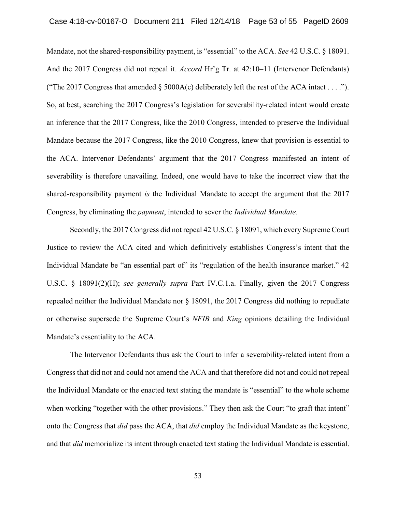Mandate, not the shared-responsibility payment, is "essential" to the ACA. *See* 42 U.S.C. § 18091. And the 2017 Congress did not repeal it. *Accord* Hr'g Tr. at 42:10–11 (Intervenor Defendants) ("The 2017 Congress that amended  $\S$  5000A(c) deliberately left the rest of the ACA intact . . . ."). So, at best, searching the 2017 Congress's legislation for severability-related intent would create an inference that the 2017 Congress, like the 2010 Congress, intended to preserve the Individual Mandate because the 2017 Congress, like the 2010 Congress, knew that provision is essential to the ACA. Intervenor Defendants' argument that the 2017 Congress manifested an intent of severability is therefore unavailing. Indeed, one would have to take the incorrect view that the shared-responsibility payment *is* the Individual Mandate to accept the argument that the 2017 Congress, by eliminating the *payment*, intended to sever the *Individual Mandate*.

Secondly, the 2017 Congress did not repeal 42 U.S.C. § 18091, which every Supreme Court Justice to review the ACA cited and which definitively establishes Congress's intent that the Individual Mandate be "an essential part of" its "regulation of the health insurance market." 42 U.S.C. § 18091(2)(H); *see generally supra* Part IV.C.1.a. Finally, given the 2017 Congress repealed neither the Individual Mandate nor § 18091, the 2017 Congress did nothing to repudiate or otherwise supersede the Supreme Court's *NFIB* and *King* opinions detailing the Individual Mandate's essentiality to the ACA.

The Intervenor Defendants thus ask the Court to infer a severability-related intent from a Congress that did not and could not amend the ACA and that therefore did not and could not repeal the Individual Mandate or the enacted text stating the mandate is "essential" to the whole scheme when working "together with the other provisions." They then ask the Court "to graft that intent" onto the Congress that *did* pass the ACA, that *did* employ the Individual Mandate as the keystone, and that *did* memorialize its intent through enacted text stating the Individual Mandate is essential.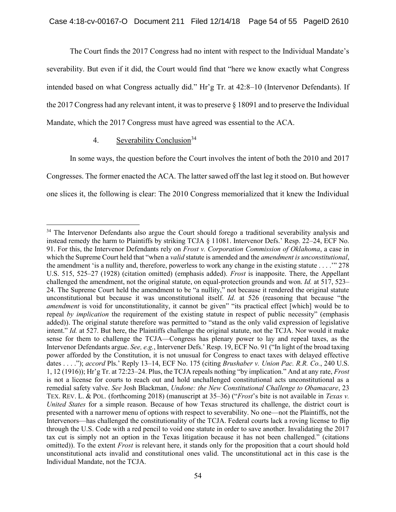The Court finds the 2017 Congress had no intent with respect to the Individual Mandate's severability. But even if it did, the Court would find that "here we know exactly what Congress intended based on what Congress actually did." Hr'g Tr. at 42:8–10 (Intervenor Defendants). If the 2017 Congress had any relevant intent, it was to preserve § 18091 and to preserve the Individual Mandate, which the 2017 Congress must have agreed was essential to the ACA.

# 4. Severability Conclusion<sup>34</sup>

In some ways, the question before the Court involves the intent of both the 2010 and 2017 Congresses. The former enacted the ACA. The latter sawed off the last leg it stood on. But however one slices it, the following is clear: The 2010 Congress memorialized that it knew the Individual

 $\overline{a}$ <sup>34</sup> The Intervenor Defendants also argue the Court should forego a traditional severability analysis and instead remedy the harm to Plaintiffs by striking TCJA § 11081. Intervenor Defs.' Resp. 22–24, ECF No. 91. For this, the Intervenor Defendants rely on *Frost v. Corporation Commission of Oklahoma*, a case in which the Supreme Court held that "when a *valid* statute is amended and the *amendment is unconstitutional*, the amendment 'is a nullity and, therefore, powerless to work any change in the existing statute . . . .'" 278 U.S. 515, 525–27 (1928) (citation omitted) (emphasis added). *Frost* is inapposite. There, the Appellant challenged the amendment, not the original statute, on equal-protection grounds and won. *Id.* at 517, 523– 24. The Supreme Court held the amendment to be "a nullity," not because it rendered the original statute unconstitutional but because it was unconstitutional itself. *Id.* at 526 (reasoning that because "the *amendment* is void for unconstitutionality, it cannot be given" "its practical effect [which] would be to repeal *by implication* the requirement of the existing statute in respect of public necessity" (emphasis added)). The original statute therefore was permitted to "stand as the only valid expression of legislative intent." *Id.* at 527. But here, the Plaintiffs challenge the original statute, not the TCJA. Nor would it make sense for them to challenge the TCJA—Congress has plenary power to lay and repeal taxes, as the Intervenor Defendants argue. *See, e.g.*, Intervener Defs.' Resp. 19, ECF No. 91 ("In light of the broad taxing power afforded by the Constitution, it is not unusual for Congress to enact taxes with delayed effective dates . . . ."); *accord* Pls.' Reply 13–14, ECF No. 175 (citing *Brushaber v. Union Pac. R.R. Co.*, 240 U.S. 1, 12 (1916)); Hr'g Tr. at 72:23–24. Plus, the TCJA repeals nothing "by implication." And at any rate, *Frost*  is not a license for courts to reach out and hold unchallenged constitutional acts unconstitutional as a remedial safety valve. *See* Josh Blackman, *Undone: the New Constitutional Challenge to Obamacare*, 23 TEX. REV. L. & POL. (forthcoming 2018) (manuscript at 35–36) ("*Frost*'s bite is not available in *Texas v. United States* for a simple reason. Because of how Texas structured its challenge, the district court is presented with a narrower menu of options with respect to severability. No one—not the Plaintiffs, not the Intervenors—has challenged the constitutionality of the TCJA. Federal courts lack a roving license to flip through the U.S. Code with a red pencil to void one statute in order to save another. Invalidating the 2017 tax cut is simply not an option in the Texas litigation because it has not been challenged." (citations omitted)). To the extent *Frost* is relevant here, it stands only for the proposition that a court should hold unconstitutional acts invalid and constitutional ones valid. The unconstitutional act in this case is the Individual Mandate, not the TCJA.